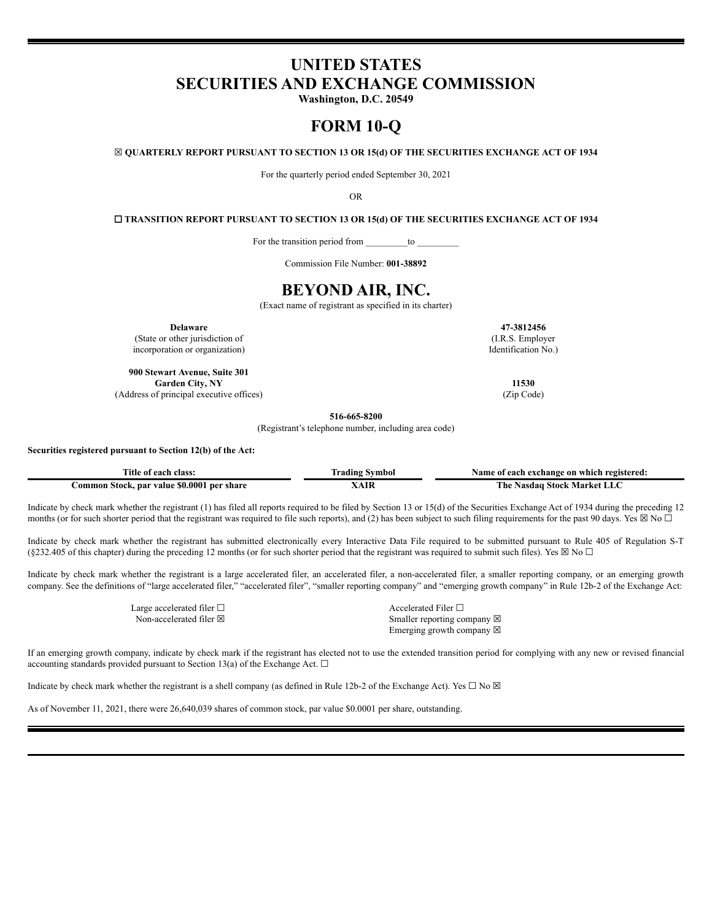# **UNITED STATES SECURITIES AND EXCHANGE COMMISSION**

**Washington, D.C. 20549**

# **FORM 10-Q**

☒ **QUARTERLY REPORT PURSUANT TO SECTION 13 OR 15(d) OF THE SECURITIES EXCHANGE ACT OF 1934**

For the quarterly period ended September 30, 2021

OR

### ☐ **TRANSITION REPORT PURSUANT TO SECTION 13 OR 15(d) OF THE SECURITIES EXCHANGE ACT OF 1934**

For the transition period from \_\_\_\_\_\_\_\_\_to

Commission File Number: **001-38892**

# **BEYOND AIR, INC.**

(Exact name of registrant as specified in its charter)

(State or other jurisdiction of incorporation or organization)

**900 Stewart Avenue, Suite 301 Garden City, NY 11530** (Address of principal executive offices) (Zip Code)

**Delaware 47-3812456** (I.R.S. Employer Identification No.)

**516-665-8200**

(Registrant's telephone number, including area code)

#### **Securities registered pursuant to Section 12(b) of the Act:**

| Lîtle<br>class:<br>each<br>: 0T                                 | rading<br>švmbol | Name of<br>registered.<br>ı exchange<br>. which<br>- on<br>each |
|-----------------------------------------------------------------|------------------|-----------------------------------------------------------------|
| -\$0.000<br>. per share<br>'ommon<br>. par<br>Stock.<br>' value |                  | Morket<br>l`he<br>.stock<br>Aasdac                              |

Indicate by check mark whether the registrant (1) has filed all reports required to be filed by Section 13 or 15(d) of the Securities Exchange Act of 1934 during the preceding 12 months (or for such shorter period that the registrant was required to file such reports), and (2) has been subject to such filing requirements for the past 90 days. Yes  $\boxtimes$  No  $\Box$ 

Indicate by check mark whether the registrant has submitted electronically every Interactive Data File required to be submitted pursuant to Rule 405 of Regulation S-T (§232.405 of this chapter) during the preceding 12 months (or for such shorter period that the registrant was required to submit such files). Yes  $\boxtimes$  No  $\Box$ 

Indicate by check mark whether the registrant is a large accelerated filer, an accelerated filer, a non-accelerated filer, a smaller reporting company, or an emerging growth company. See the definitions of "large accelerated filer," "accelerated filer", "smaller reporting company" and "emerging growth company" in Rule 12b-2 of the Exchange Act:

| Large accelerated filer $\square$ | Accelerated Filer $\Box$              |
|-----------------------------------|---------------------------------------|
| Non-accelerated filer $\boxtimes$ | Smaller reporting company $\boxtimes$ |
|                                   | Emerging growth company $\boxtimes$   |

If an emerging growth company, indicate by check mark if the registrant has elected not to use the extended transition period for complying with any new or revised financial accounting standards provided pursuant to Section 13(a) of the Exchange Act.  $\Box$ 

Indicate by check mark whether the registrant is a shell company (as defined in Rule 12b-2 of the Exchange Act). Yes  $\Box$  No  $\boxtimes$ 

As of November 11, 2021, there were 26,640,039 shares of common stock, par value \$0.0001 per share, outstanding.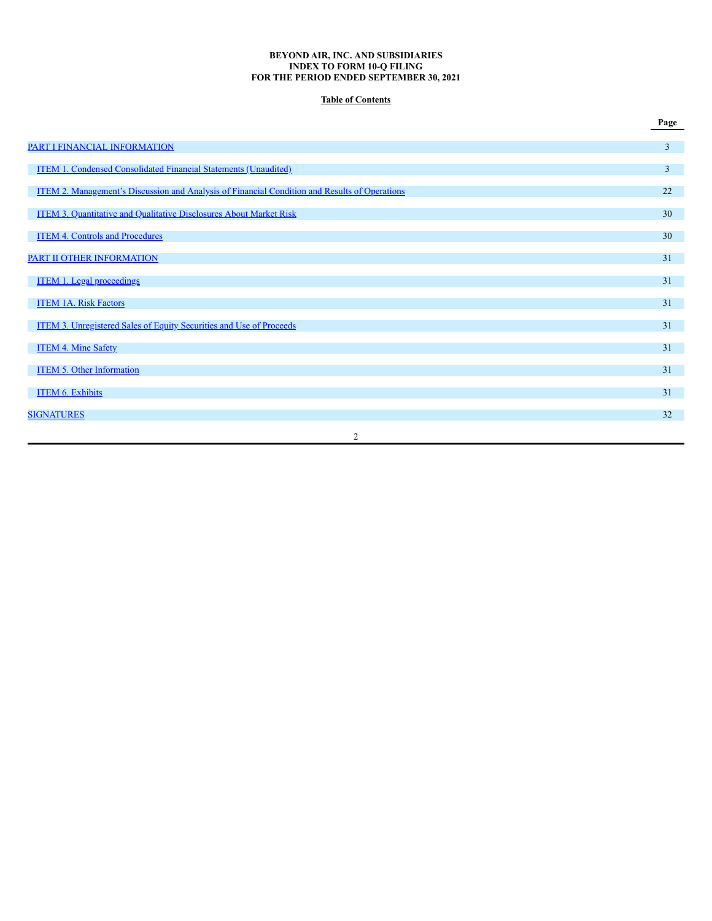### **BEYOND AIR, INC. AND SUBSIDIARIES INDEX TO FORM 10-Q FILING FOR THE PERIOD ENDED SEPTEMBER 30, 2021**

# **Table of Contents**

|                                                                                                      | Page         |
|------------------------------------------------------------------------------------------------------|--------------|
| PART I FINANCIAL INFORMATION                                                                         | 3            |
| <b>ITEM 1. Condensed Consolidated Financial Statements (Unaudited)</b>                               | $\mathbf{3}$ |
| <b>ITEM 2. Management's Discussion and Analysis of Financial Condition and Results of Operations</b> | 22           |
| <b>ITEM 3. Quantitative and Qualitative Disclosures About Market Risk</b>                            | 30           |
| <b>ITEM 4. Controls and Procedures</b>                                                               | 30           |
| PART II OTHER INFORMATION                                                                            | 31           |
| <b>ITEM 1. Legal proceedings</b>                                                                     | 31           |
| <b>ITEM 1A. Risk Factors</b>                                                                         | 31           |
| <b>ITEM 3. Unregistered Sales of Equity Securities and Use of Proceeds</b>                           | 31           |
| <b>ITEM 4. Mine Safety</b>                                                                           | 31           |
| <b>ITEM 5. Other Information</b>                                                                     | 31           |
| <b>ITEM 6. Exhibits</b>                                                                              | 31           |
| <b>SIGNATURES</b>                                                                                    | 32           |
| $\overline{c}$                                                                                       |              |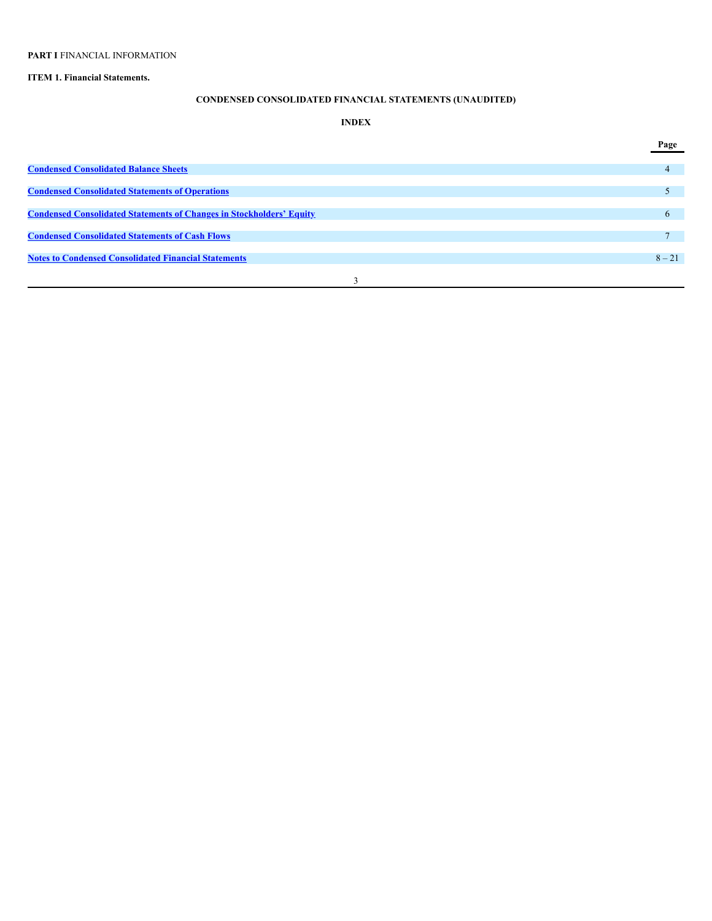## <span id="page-2-0"></span>**PART I** FINANCIAL INFORMATION

# <span id="page-2-1"></span>**ITEM 1. Financial Statements.**

# **CONDENSED CONSOLIDATED FINANCIAL STATEMENTS (UNAUDITED)**

# **INDEX**

|                                                                             | Page     |
|-----------------------------------------------------------------------------|----------|
|                                                                             |          |
| <b>Condensed Consolidated Balance Sheets</b>                                |          |
|                                                                             |          |
| <b>Condensed Consolidated Statements of Operations</b>                      |          |
|                                                                             |          |
| <b>Condensed Consolidated Statements of Changes in Stockholders' Equity</b> | $\sigma$ |
|                                                                             |          |
| <b>Condensed Consolidated Statements of Cash Flows</b>                      |          |
|                                                                             |          |
| <b>Notes to Condensed Consolidated Financial Statements</b>                 | $8 - 21$ |
|                                                                             |          |
|                                                                             |          |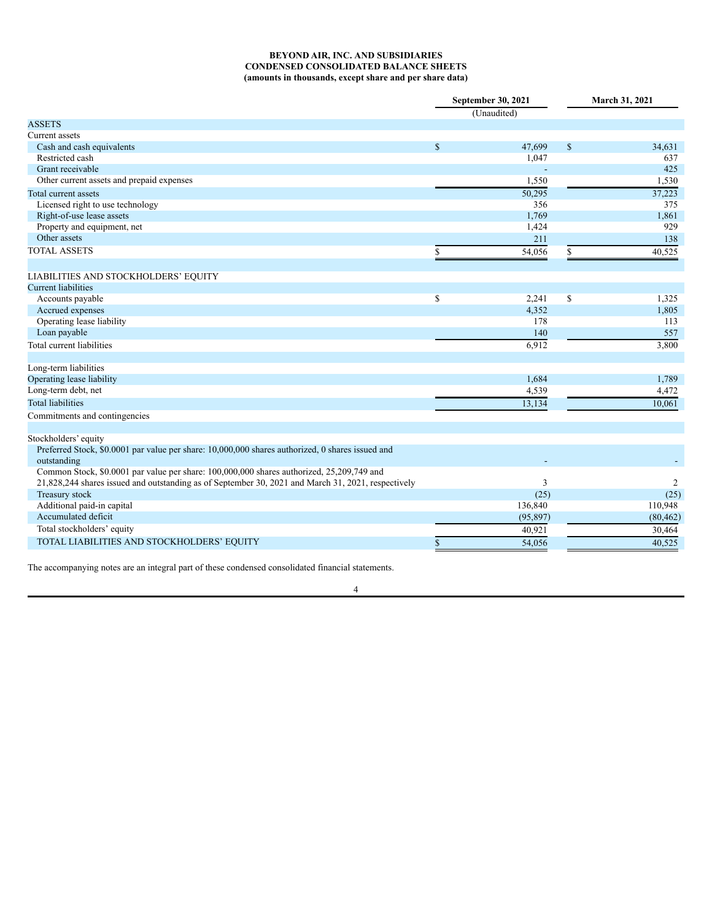### **BEYOND AIR, INC. AND SUBSIDIARIES CONDENSED CONSOLIDATED BALANCE SHEETS (amounts in thousands, except share and per share data)**

<span id="page-3-0"></span>

|                                                                                                    | September 30, 2021<br>(Unaudited) |                 |              | March 31, 2021  |  |  |
|----------------------------------------------------------------------------------------------------|-----------------------------------|-----------------|--------------|-----------------|--|--|
| <b>ASSETS</b>                                                                                      |                                   |                 |              |                 |  |  |
| Current assets                                                                                     |                                   |                 |              |                 |  |  |
| Cash and cash equivalents                                                                          | $\mathbb{S}$                      | 47,699          | $\mathbb{S}$ | 34,631          |  |  |
| Restricted cash                                                                                    |                                   | 1,047           |              | 637             |  |  |
| Grant receivable                                                                                   |                                   |                 |              | 425             |  |  |
| Other current assets and prepaid expenses                                                          |                                   | 1,550           |              | 1,530           |  |  |
| Total current assets                                                                               |                                   | 50,295          |              | 37,223          |  |  |
| Licensed right to use technology                                                                   |                                   | 356             |              | 375             |  |  |
| Right-of-use lease assets                                                                          |                                   | 1,769           |              | 1,861           |  |  |
| Property and equipment, net                                                                        |                                   | 1,424           |              | 929             |  |  |
| Other assets                                                                                       |                                   | 211             |              | 138             |  |  |
| <b>TOTAL ASSETS</b>                                                                                | S                                 | 54,056          | \$           | 40,525          |  |  |
| LIABILITIES AND STOCKHOLDERS' EQUITY                                                               |                                   |                 |              |                 |  |  |
| <b>Current liabilities</b>                                                                         |                                   |                 |              |                 |  |  |
| Accounts payable                                                                                   | $\mathbb{S}$                      | 2,241           | $\mathbb{S}$ | 1,325           |  |  |
| Accrued expenses                                                                                   |                                   | 4,352           |              | 1,805           |  |  |
| Operating lease liability                                                                          |                                   | 178             |              | 113             |  |  |
| Loan payable                                                                                       |                                   | 140             |              | 557             |  |  |
| Total current liabilities                                                                          |                                   | 6,912           |              | 3,800           |  |  |
| Long-term liabilities                                                                              |                                   |                 |              |                 |  |  |
| Operating lease liability                                                                          |                                   | 1,684           |              | 1,789           |  |  |
| Long-term debt, net                                                                                |                                   | 4,539           |              | 4,472           |  |  |
| <b>Total liabilities</b>                                                                           |                                   | 13,134          |              | 10,061          |  |  |
| Commitments and contingencies                                                                      |                                   |                 |              |                 |  |  |
| Stockholders' equity                                                                               |                                   |                 |              |                 |  |  |
| Preferred Stock, \$0.0001 par value per share: 10,000,000 shares authorized, 0 shares issued and   |                                   |                 |              |                 |  |  |
| outstanding                                                                                        |                                   |                 |              |                 |  |  |
| Common Stock, \$0.0001 par value per share: 100,000,000 shares authorized, 25,209,749 and          |                                   |                 |              |                 |  |  |
| 21,828,244 shares issued and outstanding as of September 30, 2021 and March 31, 2021, respectively |                                   | 3               |              | 2               |  |  |
| Treasury stock<br>Additional paid-in capital                                                       |                                   | (25)<br>136,840 |              | (25)<br>110,948 |  |  |
| Accumulated deficit                                                                                |                                   |                 |              |                 |  |  |
|                                                                                                    |                                   | (95, 897)       |              | (80, 462)       |  |  |
| Total stockholders' equity                                                                         |                                   | 40,921          |              | 30,464          |  |  |
| TOTAL LIABILITIES AND STOCKHOLDERS' EQUITY                                                         | $\mathbf{s}$                      | 54,056          |              | 40,525          |  |  |

The accompanying notes are an integral part of these condensed consolidated financial statements.

## 4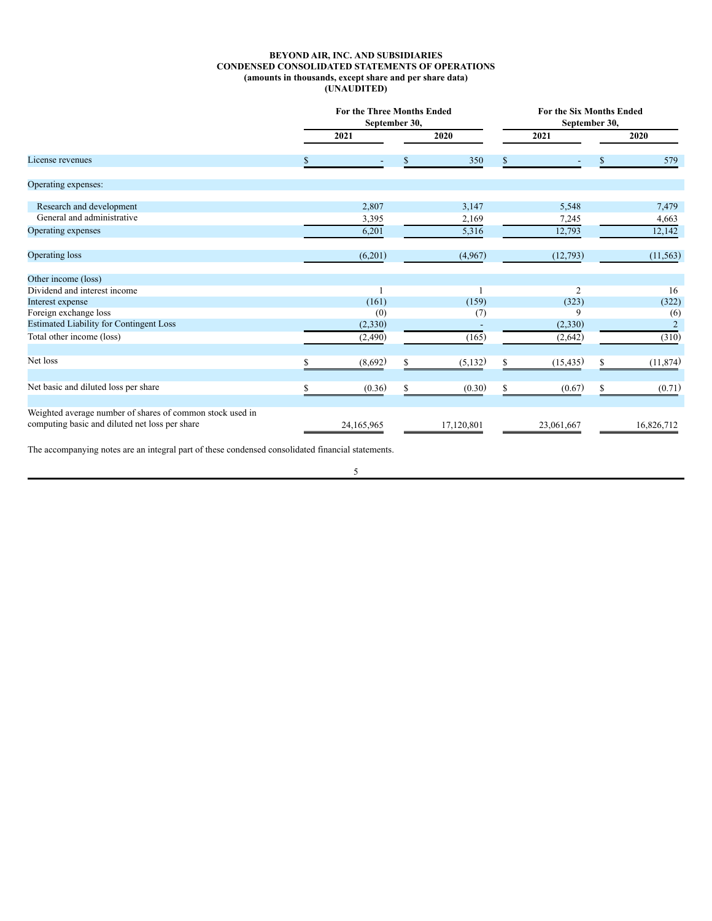### **BEYOND AIR, INC. AND SUBSIDIARIES CONDENSED CONSOLIDATED STATEMENTS OF OPERATIONS (amounts in thousands, except share and per share data) (UNAUDITED)**

<span id="page-4-0"></span>

|                                                                                                             | <b>For the Three Months Ended</b><br>September 30, |            |    |            |             | <b>For the Six Months Ended</b><br>September 30, |    |            |  |  |
|-------------------------------------------------------------------------------------------------------------|----------------------------------------------------|------------|----|------------|-------------|--------------------------------------------------|----|------------|--|--|
|                                                                                                             |                                                    | 2021       |    | 2020       |             | 2021                                             |    | 2020       |  |  |
| License revenues                                                                                            |                                                    |            |    | 350        | $\mathbf S$ |                                                  | \$ | 579        |  |  |
| Operating expenses:                                                                                         |                                                    |            |    |            |             |                                                  |    |            |  |  |
| Research and development                                                                                    |                                                    | 2,807      |    | 3,147      |             | 5,548                                            |    | 7,479      |  |  |
| General and administrative                                                                                  |                                                    | 3,395      |    | 2,169      |             | 7,245                                            |    | 4,663      |  |  |
| Operating expenses                                                                                          |                                                    | 6,201      |    | 5,316      |             | 12,793                                           |    | 12,142     |  |  |
| Operating loss                                                                                              |                                                    | (6,201)    |    | (4,967)    |             | (12,793)                                         |    | (11, 563)  |  |  |
| Other income (loss)                                                                                         |                                                    |            |    |            |             |                                                  |    |            |  |  |
| Dividend and interest income                                                                                |                                                    |            |    |            |             | $\overline{2}$                                   |    | 16         |  |  |
| Interest expense                                                                                            |                                                    | (161)      |    | (159)      |             | (323)                                            |    | (322)      |  |  |
| Foreign exchange loss                                                                                       |                                                    | (0)        |    | (7)        |             | 9                                                |    | (6)        |  |  |
| <b>Estimated Liability for Contingent Loss</b>                                                              |                                                    | (2,330)    |    |            |             | (2, 330)                                         |    | 2          |  |  |
| Total other income (loss)                                                                                   |                                                    | (2,490)    |    | (165)      |             | (2,642)                                          |    | (310)      |  |  |
| Net loss                                                                                                    |                                                    | (8,692)    | S. | (5, 132)   | \$          | (15, 435)                                        | \$ | (11, 874)  |  |  |
| Net basic and diluted loss per share                                                                        |                                                    | (0.36)     | \$ | (0.30)     | \$          | (0.67)                                           | \$ | (0.71)     |  |  |
| Weighted average number of shares of common stock used in<br>computing basic and diluted net loss per share |                                                    | 24,165,965 |    | 17,120,801 |             | 23,061,667                                       |    | 16,826,712 |  |  |
|                                                                                                             |                                                    |            |    |            |             |                                                  |    |            |  |  |

The accompanying notes are an integral part of these condensed consolidated financial statements.

5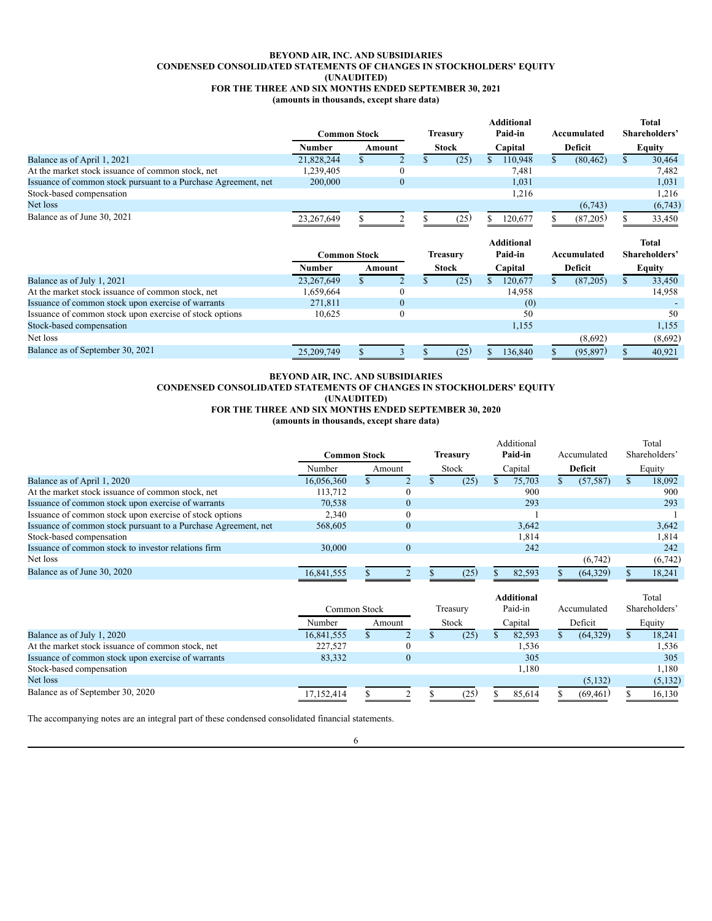### **BEYOND AIR, INC. AND SUBSIDIARIES CONDENSED CONSOLIDATED STATEMENTS OF CHANGES IN STOCKHOLDERS' EQUITY (UNAUDITED) FOR THE THREE AND SIX MONTHS ENDED SEPTEMBER 30, 2021 (amounts in thousands, except share data)**

<span id="page-5-0"></span>

|                                                                | <b>Common Stock</b> |        |                  | <b>Treasury</b> |                 |              | <b>Additional</b><br>Paid-in |  | Accumulated |  | <b>Total</b><br>Shareholders' |  |  |  |  |  |  |  |  |  |  |  |  |  |  |  |  |  |  |  |         |  |         |  |        |  |
|----------------------------------------------------------------|---------------------|--------|------------------|-----------------|-----------------|--------------|------------------------------|--|-------------|--|-------------------------------|--|--|--|--|--|--|--|--|--|--|--|--|--|--|--|--|--|--|--|---------|--|---------|--|--------|--|
|                                                                | Number              | Amount |                  |                 | <b>Stock</b>    |              |                              |  |             |  |                               |  |  |  |  |  |  |  |  |  |  |  |  |  |  |  |  |  |  |  | Capital |  | Deficit |  | Equity |  |
| Balance as of April 1, 2021                                    | 21,828,244          |        |                  |                 | (25)            |              | 110,948                      |  | (80, 462)   |  | 30,464                        |  |  |  |  |  |  |  |  |  |  |  |  |  |  |  |  |  |  |  |         |  |         |  |        |  |
| At the market stock issuance of common stock, net              | 1,239,405           |        | $\theta$         |                 |                 |              | 7.481                        |  |             |  | 7,482                         |  |  |  |  |  |  |  |  |  |  |  |  |  |  |  |  |  |  |  |         |  |         |  |        |  |
| Issuance of common stock pursuant to a Purchase Agreement, net | 200,000             |        | $\mathbf{0}$     |                 |                 |              | 1,031                        |  |             |  | 1,031                         |  |  |  |  |  |  |  |  |  |  |  |  |  |  |  |  |  |  |  |         |  |         |  |        |  |
| Stock-based compensation                                       |                     |        |                  |                 |                 |              | 1,216                        |  |             |  | 1,216                         |  |  |  |  |  |  |  |  |  |  |  |  |  |  |  |  |  |  |  |         |  |         |  |        |  |
| Net loss                                                       |                     |        |                  |                 |                 |              |                              |  | (6,743)     |  | (6,743)                       |  |  |  |  |  |  |  |  |  |  |  |  |  |  |  |  |  |  |  |         |  |         |  |        |  |
| Balance as of June 30, 2021                                    | 23,267,649          |        |                  |                 | (25)            |              | 120,677                      |  | (87,205)    |  | 33,450                        |  |  |  |  |  |  |  |  |  |  |  |  |  |  |  |  |  |  |  |         |  |         |  |        |  |
|                                                                | <b>Common Stock</b> |        |                  |                 | <b>Treasury</b> |              | <b>Additional</b><br>Paid-in |  | Accumulated |  | <b>Total</b><br>Shareholders' |  |  |  |  |  |  |  |  |  |  |  |  |  |  |  |  |  |  |  |         |  |         |  |        |  |
|                                                                | Number              |        |                  |                 |                 |              |                              |  |             |  |                               |  |  |  |  |  |  |  |  |  |  |  |  |  |  |  |  |  |  |  |         |  |         |  |        |  |
|                                                                |                     | Amount |                  |                 | <b>Stock</b>    |              | Capital                      |  | Deficit     |  | Equity                        |  |  |  |  |  |  |  |  |  |  |  |  |  |  |  |  |  |  |  |         |  |         |  |        |  |
| Balance as of July 1, 2021                                     | 23, 267, 649        |        | $\overline{2}$   |                 | (25)            | $\mathbf{S}$ | 120,677                      |  | (87,205)    |  | 33,450                        |  |  |  |  |  |  |  |  |  |  |  |  |  |  |  |  |  |  |  |         |  |         |  |        |  |
| At the market stock issuance of common stock, net              | .659,664            |        | $\mathbf{0}$     |                 |                 |              | 14,958                       |  |             |  | 14,958                        |  |  |  |  |  |  |  |  |  |  |  |  |  |  |  |  |  |  |  |         |  |         |  |        |  |
| Issuance of common stock upon exercise of warrants             | 271,811             |        | $\boldsymbol{0}$ |                 |                 |              | (0)                          |  |             |  |                               |  |  |  |  |  |  |  |  |  |  |  |  |  |  |  |  |  |  |  |         |  |         |  |        |  |
| Issuance of common stock upon exercise of stock options        | 10,625              |        | $\boldsymbol{0}$ |                 |                 |              | 50                           |  |             |  | 50                            |  |  |  |  |  |  |  |  |  |  |  |  |  |  |  |  |  |  |  |         |  |         |  |        |  |
| Stock-based compensation                                       |                     |        |                  |                 |                 |              | 1,155                        |  |             |  | 1,155                         |  |  |  |  |  |  |  |  |  |  |  |  |  |  |  |  |  |  |  |         |  |         |  |        |  |
| Net loss                                                       |                     |        |                  |                 |                 |              |                              |  | (8,692)     |  | (8,692)                       |  |  |  |  |  |  |  |  |  |  |  |  |  |  |  |  |  |  |  |         |  |         |  |        |  |
| Balance as of September 30, 2021                               | 25,209,749          |        | 3                |                 | (25)            |              | 136,840                      |  | (95, 897)   |  | 40,921                        |  |  |  |  |  |  |  |  |  |  |  |  |  |  |  |  |  |  |  |         |  |         |  |        |  |

### **BEYOND AIR, INC. AND SUBSIDIARIES**

# **CONDENSED CONSOLIDATED STATEMENTS OF CHANGES IN STOCKHOLDERS' EQUITY**

**(UNAUDITED)**

**FOR THE THREE AND SIX MONTHS ENDED SEPTEMBER 30, 2020**

**(amounts in thousands, except share data)**

|                                                                | <b>Common Stock</b> |  |          | Treasurv | Additional<br>Paid-in |         | Accumulated | Total<br>Shareholders' |
|----------------------------------------------------------------|---------------------|--|----------|----------|-----------------------|---------|-------------|------------------------|
|                                                                | Number              |  | Amount   | Stock    |                       | Capital | Deficit     | Equity                 |
| Balance as of April 1, 2020                                    | 16,056,360          |  |          | (25)     |                       | 75.703  | (57, 587)   | 18,092                 |
| At the market stock issuance of common stock, net              | 113.712             |  |          |          |                       | 900     |             | 900                    |
| Issuance of common stock upon exercise of warrants             | 70,538              |  | $\theta$ |          |                       | 293     |             | 293                    |
| Issuance of common stock upon exercise of stock options        | 2,340               |  |          |          |                       |         |             |                        |
| Issuance of common stock pursuant to a Purchase Agreement, net | 568,605             |  | $\theta$ |          |                       | 3,642   |             | 3,642                  |
| Stock-based compensation                                       |                     |  |          |          |                       | 1,814   |             | 1.814                  |
| Issuance of common stock to investor relations firm            | 30,000              |  | $\Omega$ |          |                       | 242     |             | 242                    |
| Net loss                                                       |                     |  |          |          |                       |         | (6,742)     | (6,742)                |
| Balance as of June 30, 2020                                    | 16,841,555          |  |          | (25)     |                       | 82,593  | (64,329)    | 18,241                 |
|                                                                |                     |  |          |          |                       |         |             |                        |

|                                                    |              |  |        |          |       |  | <b>Additional</b> |  |             | Total         |
|----------------------------------------------------|--------------|--|--------|----------|-------|--|-------------------|--|-------------|---------------|
|                                                    | Common Stock |  |        | Treasury |       |  | Paid-in           |  | Accumulated | Shareholders' |
|                                                    | Number       |  | Amount |          | Stock |  | Capital           |  | Deficit     | Equity        |
| Balance as of July 1, 2020                         | 16,841,555   |  |        |          | (25)  |  | 82,593            |  | (64, 329)   | 18,241        |
| At the market stock issuance of common stock, net  | 227,527      |  |        |          |       |  | 1,536             |  |             | 1,536         |
| Issuance of common stock upon exercise of warrants | 83,332       |  |        |          |       |  | 305               |  |             | 305           |
| Stock-based compensation                           |              |  |        |          |       |  | 1,180             |  |             | 1,180         |
| Net loss                                           |              |  |        |          |       |  |                   |  | (5,132)     | (5,132)       |
| Balance as of September 30, 2020                   | 17,152,414   |  |        |          | (25)  |  | 85.614            |  | (69, 461)   | 16.130        |

The accompanying notes are an integral part of these condensed consolidated financial statements.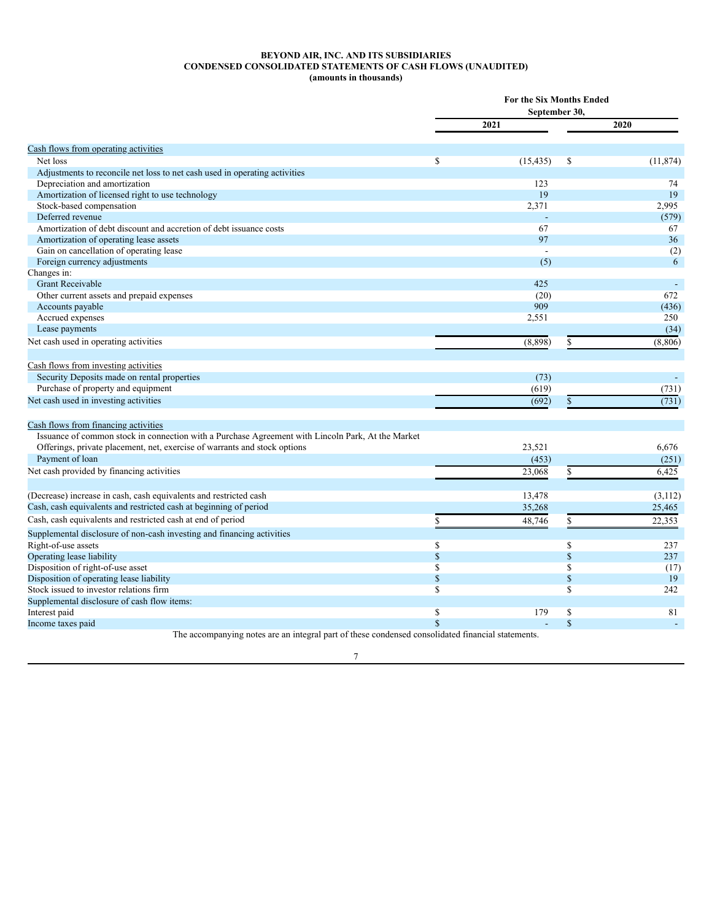### **BEYOND AIR, INC. AND ITS SUBSIDIARIES CONDENSED CONSOLIDATED STATEMENTS OF CASH FLOWS (UNAUDITED) (amounts in thousands)**

<span id="page-6-0"></span>

|                                                                                                                        | <b>For the Six Months Ended</b><br>September 30, |           |              |           |  |
|------------------------------------------------------------------------------------------------------------------------|--------------------------------------------------|-----------|--------------|-----------|--|
|                                                                                                                        |                                                  | 2021      |              | 2020      |  |
| Cash flows from operating activities                                                                                   |                                                  |           |              |           |  |
| Net loss                                                                                                               | \$                                               | (15, 435) | \$           | (11, 874) |  |
| Adjustments to reconcile net loss to net cash used in operating activities                                             |                                                  |           |              |           |  |
| Depreciation and amortization                                                                                          |                                                  | 123       |              | 74        |  |
| Amortization of licensed right to use technology                                                                       |                                                  | 19        |              | 19        |  |
| Stock-based compensation                                                                                               |                                                  | 2,371     |              | 2,995     |  |
| Deferred revenue                                                                                                       |                                                  |           |              | (579)     |  |
| Amortization of debt discount and accretion of debt issuance costs                                                     |                                                  | 67        |              | 67        |  |
| Amortization of operating lease assets                                                                                 |                                                  | 97        |              | 36        |  |
| Gain on cancellation of operating lease                                                                                |                                                  |           |              | (2)       |  |
| Foreign currency adjustments                                                                                           |                                                  | (5)       |              | 6         |  |
| Changes in:                                                                                                            |                                                  |           |              |           |  |
| <b>Grant Receivable</b>                                                                                                |                                                  | 425       |              |           |  |
| Other current assets and prepaid expenses                                                                              |                                                  | (20)      |              | 672       |  |
| Accounts payable                                                                                                       |                                                  | 909       |              | (436)     |  |
| Accrued expenses                                                                                                       |                                                  | 2,551     |              | 250       |  |
| Lease payments                                                                                                         |                                                  |           |              | (34)      |  |
| Net cash used in operating activities                                                                                  |                                                  | (8,898)   | \$           | (8,806)   |  |
|                                                                                                                        |                                                  |           |              |           |  |
| Cash flows from investing activities                                                                                   |                                                  |           |              |           |  |
| Security Deposits made on rental properties                                                                            |                                                  | (73)      |              |           |  |
| Purchase of property and equipment                                                                                     |                                                  | (619)     |              | (731)     |  |
| Net cash used in investing activities                                                                                  |                                                  | (692)     |              | (731)     |  |
| Cash flows from financing activities                                                                                   |                                                  |           |              |           |  |
| Issuance of common stock in connection with a Purchase Agreement with Lincoln Park, At the Market                      |                                                  |           |              |           |  |
| Offerings, private placement, net, exercise of warrants and stock options                                              |                                                  | 23,521    |              | 6,676     |  |
| Payment of loan                                                                                                        |                                                  | (453)     |              | (251)     |  |
| Net cash provided by financing activities                                                                              |                                                  | 23,068    | \$           | 6,425     |  |
| (Decrease) increase in cash, cash equivalents and restricted cash                                                      |                                                  | 13,478    |              | (3, 112)  |  |
| Cash, cash equivalents and restricted cash at beginning of period                                                      |                                                  |           |              |           |  |
|                                                                                                                        |                                                  | 35,268    |              | 25,465    |  |
| Cash, cash equivalents and restricted cash at end of period                                                            | \$                                               | 48,746    | \$           | 22,353    |  |
| Supplemental disclosure of non-cash investing and financing activities                                                 |                                                  |           |              |           |  |
| Right-of-use assets                                                                                                    | \$                                               |           | \$           | 237       |  |
| Operating lease liability                                                                                              | $\mathbb S$                                      |           | $\mathbb{S}$ | 237       |  |
| Disposition of right-of-use asset                                                                                      | \$                                               |           | \$           | (17)      |  |
| Disposition of operating lease liability                                                                               | $\mathbb S$                                      |           | $\mathbb{S}$ | 19        |  |
| Stock issued to investor relations firm                                                                                | $\mathbf S$                                      |           | $\mathbf S$  | 242       |  |
| Supplemental disclosure of cash flow items:                                                                            |                                                  |           |              |           |  |
| Interest paid                                                                                                          | \$                                               | 179       | \$           | 81        |  |
| Income taxes paid<br>The accompanying notes are an integral part of these condensed consolidated financial statements. | $\mathbf S$                                      |           | $\mathbf S$  |           |  |
|                                                                                                                        |                                                  |           |              |           |  |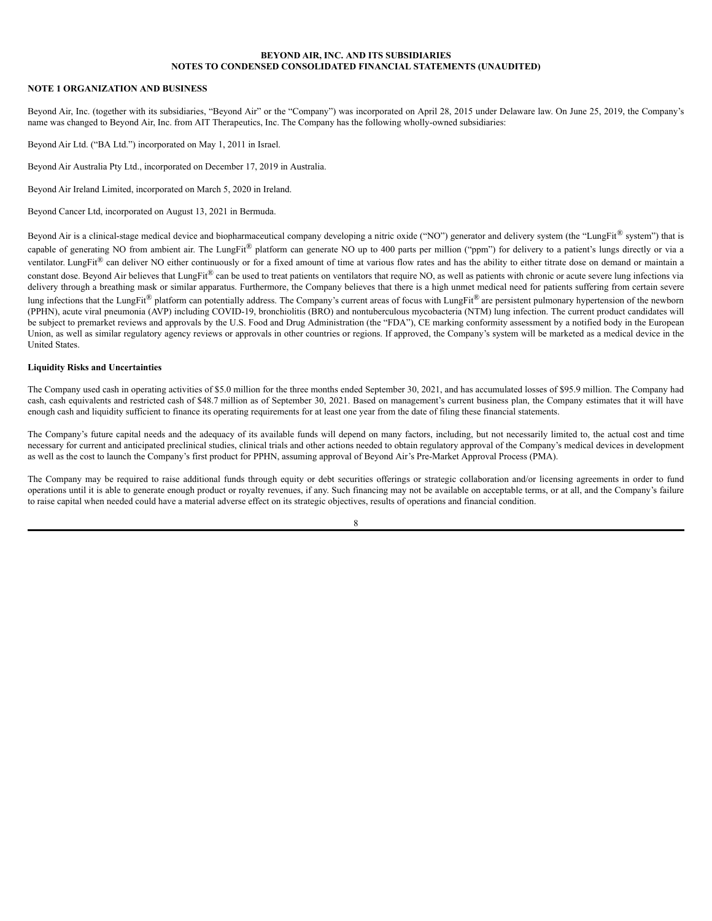### <span id="page-7-0"></span>**NOTE 1 ORGANIZATION AND BUSINESS**

Beyond Air, Inc. (together with its subsidiaries, "Beyond Air" or the "Company") was incorporated on April 28, 2015 under Delaware law. On June 25, 2019, the Company's name was changed to Beyond Air, Inc. from AIT Therapeutics, Inc. The Company has the following wholly-owned subsidiaries:

Beyond Air Ltd. ("BA Ltd.") incorporated on May 1, 2011 in Israel.

Beyond Air Australia Pty Ltd., incorporated on December 17, 2019 in Australia.

Beyond Air Ireland Limited, incorporated on March 5, 2020 in Ireland.

Beyond Cancer Ltd, incorporated on August 13, 2021 in Bermuda.

Beyond Air is a clinical-stage medical device and biopharmaceutical company developing a nitric oxide ("NO") generator and delivery system (the "LungFit® system") that is capable of generating NO from ambient air. The LungFit<sup>®</sup> platform can generate NO up to 400 parts per million ("ppm") for delivery to a patient's lungs directly or via a ventilator. LungFit® can deliver NO either continuously or for a fixed amount of time at various flow rates and has the ability to either titrate dose on demand or maintain a constant dose. Beyond Air believes that LungFit® can be used to treat patients on ventilators that require NO, as well as patients with chronic or acute severe lung infections via delivery through a breathing mask or similar apparatus. Furthermore, the Company believes that there is a high unmet medical need for patients suffering from certain severe lung infections that the LungFit<sup>®</sup> platform can potentially address. The Company's current areas of focus with LungFit<sup>®</sup> are persistent pulmonary hypertension of the newborn (PPHN), acute viral pneumonia (AVP) including COVID-19, bronchiolitis (BRO) and nontuberculous mycobacteria (NTM) lung infection. The current product candidates will be subject to premarket reviews and approvals by the U.S. Food and Drug Administration (the "FDA"), CE marking conformity assessment by a notified body in the European Union, as well as similar regulatory agency reviews or approvals in other countries or regions. If approved, the Company's system will be marketed as a medical device in the United States.

#### **Liquidity Risks and Uncertainties**

The Company used cash in operating activities of \$5.0 million for the three months ended September 30, 2021, and has accumulated losses of \$95.9 million. The Company had cash, cash equivalents and restricted cash of \$48.7 million as of September 30, 2021. Based on management's current business plan, the Company estimates that it will have enough cash and liquidity sufficient to finance its operating requirements for at least one year from the date of filing these financial statements.

The Company's future capital needs and the adequacy of its available funds will depend on many factors, including, but not necessarily limited to, the actual cost and time necessary for current and anticipated preclinical studies, clinical trials and other actions needed to obtain regulatory approval of the Company's medical devices in development as well as the cost to launch the Company's first product for PPHN, assuming approval of Beyond Air's Pre-Market Approval Process (PMA).

The Company may be required to raise additional funds through equity or debt securities offerings or strategic collaboration and/or licensing agreements in order to fund operations until it is able to generate enough product or royalty revenues, if any. Such financing may not be available on acceptable terms, or at all, and the Company's failure to raise capital when needed could have a material adverse effect on its strategic objectives, results of operations and financial condition.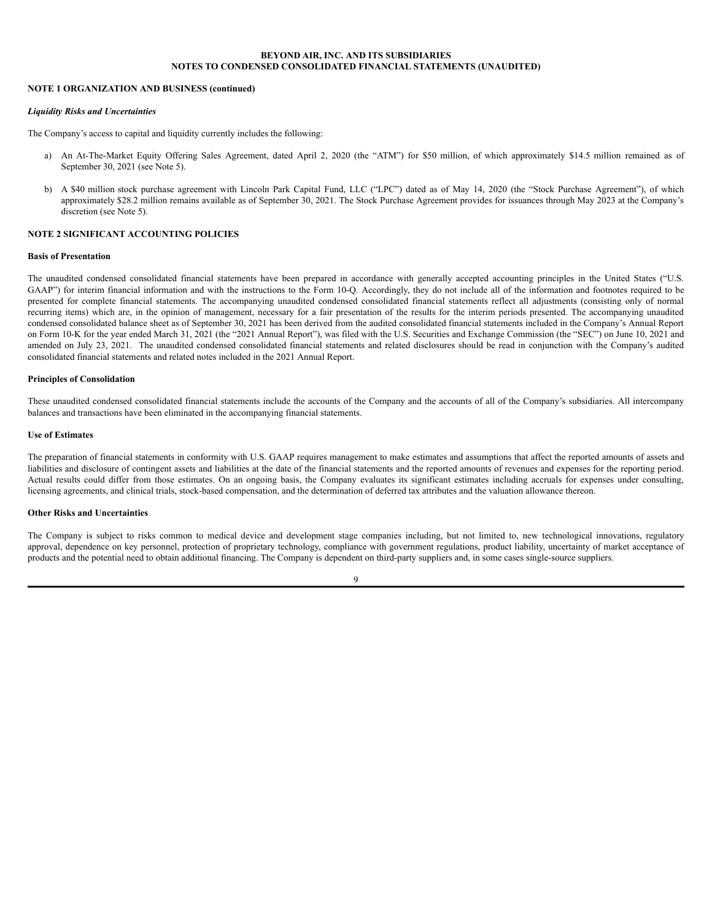### **NOTE 1 ORGANIZATION AND BUSINESS (continued)**

#### *Liquidity Risks and Uncertainties*

The Company's access to capital and liquidity currently includes the following:

- a) An At-The-Market Equity Offering Sales Agreement, dated April 2, 2020 (the "ATM") for \$50 million, of which approximately \$14.5 million remained as of September 30, 2021 (see Note 5).
- b) A \$40 million stock purchase agreement with Lincoln Park Capital Fund, LLC ("LPC") dated as of May 14, 2020 (the "Stock Purchase Agreement"), of which approximately \$28.2 million remains available as of September 30, 2021. The Stock Purchase Agreement provides for issuances through May 2023 at the Company's discretion (see Note 5).

### **NOTE 2 SIGNIFICANT ACCOUNTING POLICIES**

### **Basis of Presentation**

The unaudited condensed consolidated financial statements have been prepared in accordance with generally accepted accounting principles in the United States ("U.S. GAAP") for interim financial information and with the instructions to the Form 10-Q. Accordingly, they do not include all of the information and footnotes required to be presented for complete financial statements. The accompanying unaudited condensed consolidated financial statements reflect all adjustments (consisting only of normal recurring items) which are, in the opinion of management, necessary for a fair presentation of the results for the interim periods presented. The accompanying unaudited condensed consolidated balance sheet as of September 30, 2021 has been derived from the audited consolidated financial statements included in the Company's Annual Report on Form 10-K for the year ended March 31, 2021 (the "2021 Annual Report"), was filed with the U.S. Securities and Exchange Commission (the "SEC") on June 10, 2021 and amended on July 23, 2021. The unaudited condensed consolidated financial statements and related disclosures should be read in conjunction with the Company's audited consolidated financial statements and related notes included in the 2021 Annual Report.

#### **Principles of Consolidation**

These unaudited condensed consolidated financial statements include the accounts of the Company and the accounts of all of the Company's subsidiaries. All intercompany balances and transactions have been eliminated in the accompanying financial statements.

#### **Use of Estimates**

The preparation of financial statements in conformity with U.S. GAAP requires management to make estimates and assumptions that affect the reported amounts of assets and liabilities and disclosure of contingent assets and liabilities at the date of the financial statements and the reported amounts of revenues and expenses for the reporting period. Actual results could differ from those estimates. On an ongoing basis, the Company evaluates its significant estimates including accruals for expenses under consulting, licensing agreements, and clinical trials, stock-based compensation, and the determination of deferred tax attributes and the valuation allowance thereon.

#### **Other Risks and Uncertainties**

The Company is subject to risks common to medical device and development stage companies including, but not limited to, new technological innovations, regulatory approval, dependence on key personnel, protection of proprietary technology, compliance with government regulations, product liability, uncertainty of market acceptance of products and the potential need to obtain additional financing. The Company is dependent on third-party suppliers and, in some cases single-source suppliers.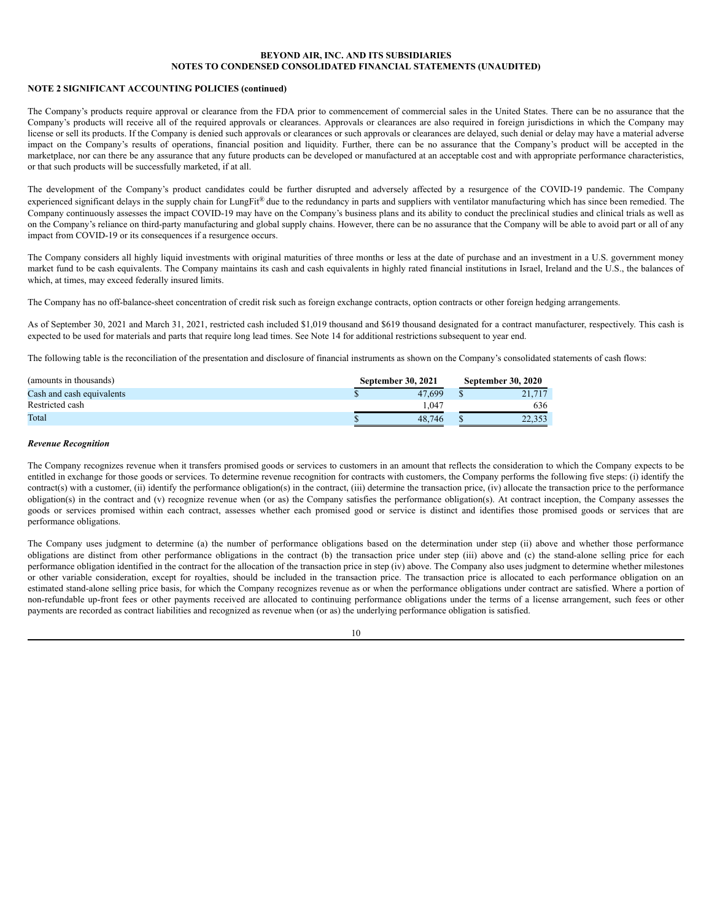### **NOTE 2 SIGNIFICANT ACCOUNTING POLICIES (continued)**

The Company's products require approval or clearance from the FDA prior to commencement of commercial sales in the United States. There can be no assurance that the Company's products will receive all of the required approvals or clearances. Approvals or clearances are also required in foreign jurisdictions in which the Company may license or sell its products. If the Company is denied such approvals or clearances or such approvals or clearances are delayed, such denial or delay may have a material adverse impact on the Company's results of operations, financial position and liquidity. Further, there can be no assurance that the Company's product will be accepted in the marketplace, nor can there be any assurance that any future products can be developed or manufactured at an acceptable cost and with appropriate performance characteristics, or that such products will be successfully marketed, if at all.

The development of the Company's product candidates could be further disrupted and adversely affected by a resurgence of the COVID-19 pandemic. The Company experienced significant delays in the supply chain for LungFit® due to the redundancy in parts and suppliers with ventilator manufacturing which has since been remedied. The Company continuously assesses the impact COVID-19 may have on the Company's business plans and its ability to conduct the preclinical studies and clinical trials as well as on the Company's reliance on third-party manufacturing and global supply chains. However, there can be no assurance that the Company will be able to avoid part or all of any impact from COVID-19 or its consequences if a resurgence occurs.

The Company considers all highly liquid investments with original maturities of three months or less at the date of purchase and an investment in a U.S. government money market fund to be cash equivalents. The Company maintains its cash and cash equivalents in highly rated financial institutions in Israel, Ireland and the U.S., the balances of which, at times, may exceed federally insured limits.

The Company has no off-balance-sheet concentration of credit risk such as foreign exchange contracts, option contracts or other foreign hedging arrangements.

As of September 30, 2021 and March 31, 2021, restricted cash included \$1,019 thousand and \$619 thousand designated for a contract manufacturer, respectively. This cash is expected to be used for materials and parts that require long lead times. See Note 14 for additional restrictions subsequent to year end.

The following table is the reconciliation of the presentation and disclosure of financial instruments as shown on the Company's consolidated statements of cash flows:

| (amounts in thousands)    | <b>September 30, 2021</b> |        |  | <b>September 30, 2020</b> |
|---------------------------|---------------------------|--------|--|---------------------------|
| Cash and cash equivalents |                           | 47.699 |  | 21.717                    |
| Restricted cash           |                           | .047   |  | 636                       |
| Total                     |                           | 48.746 |  |                           |

#### *Revenue Recognition*

The Company recognizes revenue when it transfers promised goods or services to customers in an amount that reflects the consideration to which the Company expects to be entitled in exchange for those goods or services. To determine revenue recognition for contracts with customers, the Company performs the following five steps: (i) identify the contract(s) with a customer, (ii) identify the performance obligation(s) in the contract, (iii) determine the transaction price, (iv) allocate the transaction price to the performance obligation(s) in the contract and (v) recognize revenue when (or as) the Company satisfies the performance obligation(s). At contract inception, the Company assesses the goods or services promised within each contract, assesses whether each promised good or service is distinct and identifies those promised goods or services that are performance obligations.

The Company uses judgment to determine (a) the number of performance obligations based on the determination under step (ii) above and whether those performance obligations are distinct from other performance obligations in the contract (b) the transaction price under step (iii) above and (c) the stand-alone selling price for each performance obligation identified in the contract for the allocation of the transaction price in step (iv) above. The Company also uses judgment to determine whether milestones or other variable consideration, except for royalties, should be included in the transaction price. The transaction price is allocated to each performance obligation on an estimated stand-alone selling price basis, for which the Company recognizes revenue as or when the performance obligations under contract are satisfied. Where a portion of non-refundable up-front fees or other payments received are allocated to continuing performance obligations under the terms of a license arrangement, such fees or other payments are recorded as contract liabilities and recognized as revenue when (or as) the underlying performance obligation is satisfied.

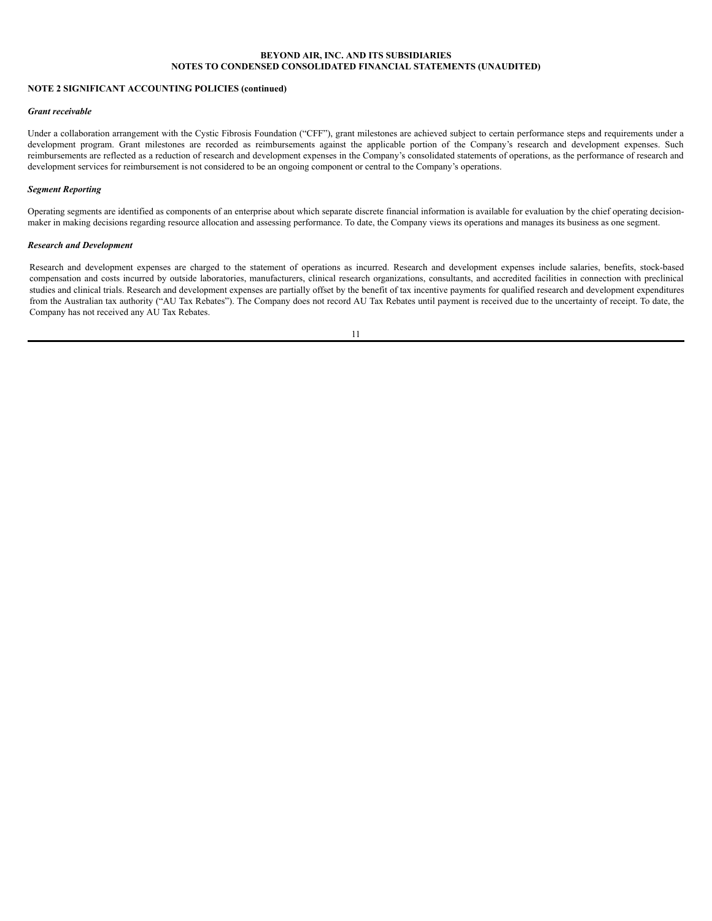### **NOTE 2 SIGNIFICANT ACCOUNTING POLICIES (continued)**

### *Grant receivable*

Under a collaboration arrangement with the Cystic Fibrosis Foundation ("CFF"), grant milestones are achieved subject to certain performance steps and requirements under a development program. Grant milestones are recorded as reimbursements against the applicable portion of the Company's research and development expenses. Such reimbursements are reflected as a reduction of research and development expenses in the Company's consolidated statements of operations, as the performance of research and development services for reimbursement is not considered to be an ongoing component or central to the Company's operations.

### *Segment Reporting*

Operating segments are identified as components of an enterprise about which separate discrete financial information is available for evaluation by the chief operating decisionmaker in making decisions regarding resource allocation and assessing performance. To date, the Company views its operations and manages its business as one segment.

### *Research and Development*

Research and development expenses are charged to the statement of operations as incurred. Research and development expenses include salaries, benefits, stock-based compensation and costs incurred by outside laboratories, manufacturers, clinical research organizations, consultants, and accredited facilities in connection with preclinical studies and clinical trials. Research and development expenses are partially offset by the benefit of tax incentive payments for qualified research and development expenditures from the Australian tax authority ("AU Tax Rebates"). The Company does not record AU Tax Rebates until payment is received due to the uncertainty of receipt. To date, the Company has not received any AU Tax Rebates.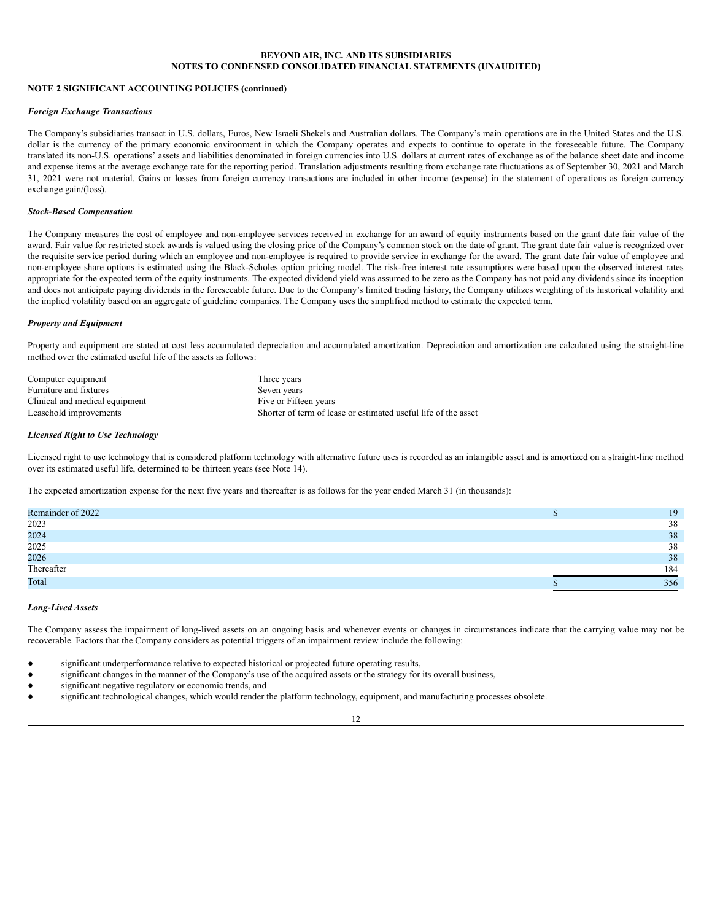### **NOTE 2 SIGNIFICANT ACCOUNTING POLICIES (continued)**

### *Foreign Exchange Transactions*

The Company's subsidiaries transact in U.S. dollars, Euros, New Israeli Shekels and Australian dollars. The Company's main operations are in the United States and the U.S. dollar is the currency of the primary economic environment in which the Company operates and expects to continue to operate in the foreseeable future. The Company translated its non-U.S. operations' assets and liabilities denominated in foreign currencies into U.S. dollars at current rates of exchange as of the balance sheet date and income and expense items at the average exchange rate for the reporting period. Translation adjustments resulting from exchange rate fluctuations as of September 30, 2021 and March 31, 2021 were not material. Gains or losses from foreign currency transactions are included in other income (expense) in the statement of operations as foreign currency exchange gain/(loss).

#### *Stock-Based Compensation*

The Company measures the cost of employee and non-employee services received in exchange for an award of equity instruments based on the grant date fair value of the award. Fair value for restricted stock awards is valued using the closing price of the Company's common stock on the date of grant. The grant date fair value is recognized over the requisite service period during which an employee and non-employee is required to provide service in exchange for the award. The grant date fair value of employee and non-employee share options is estimated using the Black-Scholes option pricing model. The risk-free interest rate assumptions were based upon the observed interest rates appropriate for the expected term of the equity instruments. The expected dividend yield was assumed to be zero as the Company has not paid any dividends since its inception and does not anticipate paying dividends in the foreseeable future. Due to the Company's limited trading history, the Company utilizes weighting of its historical volatility and the implied volatility based on an aggregate of guideline companies. The Company uses the simplified method to estimate the expected term.

#### *Property and Equipment*

Property and equipment are stated at cost less accumulated depreciation and accumulated amortization. Depreciation and amortization are calculated using the straight-line method over the estimated useful life of the assets as follows:

| Computer equipment             | Three years                                                    |
|--------------------------------|----------------------------------------------------------------|
| Furniture and fixtures         | Seven years                                                    |
| Clinical and medical equipment | Five or Fifteen years                                          |
| Leasehold improvements         | Shorter of term of lease or estimated useful life of the asset |

#### *Licensed Right to Use Technology*

Licensed right to use technology that is considered platform technology with alternative future uses is recorded as an intangible asset and is amortized on a straight-line method over its estimated useful life, determined to be thirteen years (see Note 14).

The expected amortization expense for the next five years and thereafter is as follows for the year ended March 31 (in thousands):

| Remainder of 2022 | 19  |
|-------------------|-----|
| 2023              | 38  |
| 2024              | 38  |
| 2025<br>2026      | 38  |
|                   | 38  |
| Thereafter        | 184 |
| Total             | 356 |

#### *Long-Lived Assets*

The Company assess the impairment of long-lived assets on an ongoing basis and whenever events or changes in circumstances indicate that the carrying value may not be recoverable. Factors that the Company considers as potential triggers of an impairment review include the following:

- significant underperformance relative to expected historical or projected future operating results,
- significant changes in the manner of the Company's use of the acquired assets or the strategy for its overall business,
- significant negative regulatory or economic trends, and
- significant technological changes, which would render the platform technology, equipment, and manufacturing processes obsolete.

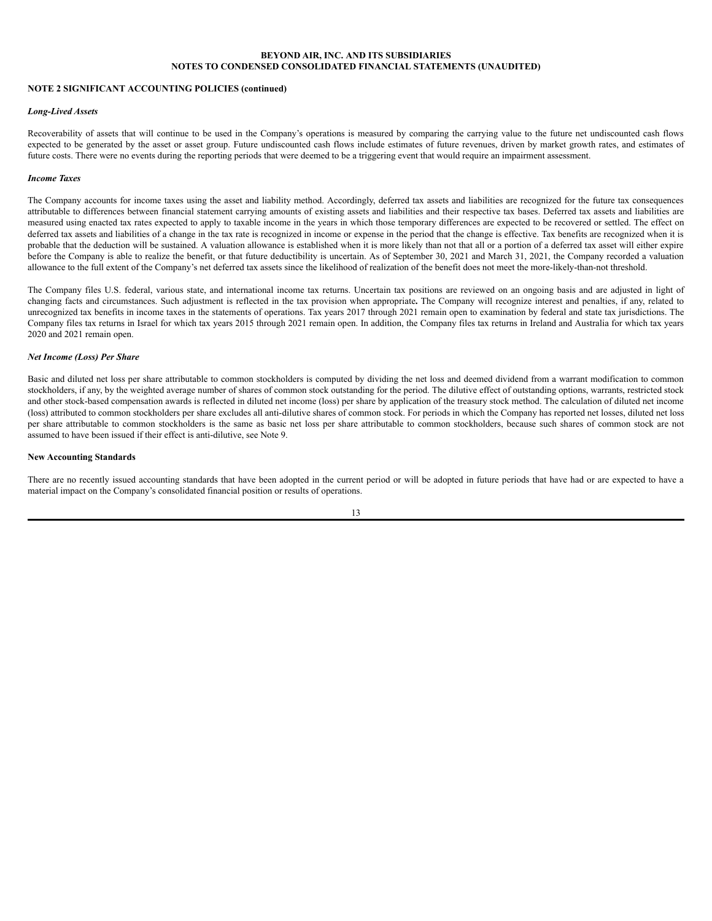#### **NOTE 2 SIGNIFICANT ACCOUNTING POLICIES (continued)**

#### *Long-Lived Assets*

Recoverability of assets that will continue to be used in the Company's operations is measured by comparing the carrying value to the future net undiscounted cash flows expected to be generated by the asset or asset group. Future undiscounted cash flows include estimates of future revenues, driven by market growth rates, and estimates of future costs. There were no events during the reporting periods that were deemed to be a triggering event that would require an impairment assessment.

#### *Income Taxes*

The Company accounts for income taxes using the asset and liability method. Accordingly, deferred tax assets and liabilities are recognized for the future tax consequences attributable to differences between financial statement carrying amounts of existing assets and liabilities and their respective tax bases. Deferred tax assets and liabilities are measured using enacted tax rates expected to apply to taxable income in the years in which those temporary differences are expected to be recovered or settled. The effect on deferred tax assets and liabilities of a change in the tax rate is recognized in income or expense in the period that the change is effective. Tax benefits are recognized when it is probable that the deduction will be sustained. A valuation allowance is established when it is more likely than not that all or a portion of a deferred tax asset will either expire before the Company is able to realize the benefit, or that future deductibility is uncertain. As of September 30, 2021 and March 31, 2021, the Company recorded a valuation allowance to the full extent of the Company's net deferred tax assets since the likelihood of realization of the benefit does not meet the more-likely-than-not threshold.

The Company files U.S. federal, various state, and international income tax returns. Uncertain tax positions are reviewed on an ongoing basis and are adjusted in light of changing facts and circumstances. Such adjustment is reflected in the tax provision when appropriate**.** The Company will recognize interest and penalties, if any, related to unrecognized tax benefits in income taxes in the statements of operations. Tax years 2017 through 2021 remain open to examination by federal and state tax jurisdictions. The Company files tax returns in Israel for which tax years 2015 through 2021 remain open. In addition, the Company files tax returns in Ireland and Australia for which tax years 2020 and 2021 remain open.

### *Net Income (Loss) Per Share*

Basic and diluted net loss per share attributable to common stockholders is computed by dividing the net loss and deemed dividend from a warrant modification to common stockholders, if any, by the weighted average number of shares of common stock outstanding for the period. The dilutive effect of outstanding options, warrants, restricted stock and other stock-based compensation awards is reflected in diluted net income (loss) per share by application of the treasury stock method. The calculation of diluted net income (loss) attributed to common stockholders per share excludes all anti-dilutive shares of common stock. For periods in which the Company has reported net losses, diluted net loss per share attributable to common stockholders is the same as basic net loss per share attributable to common stockholders, because such shares of common stock are not assumed to have been issued if their effect is anti-dilutive, see Note 9.

#### **New Accounting Standards**

There are no recently issued accounting standards that have been adopted in the current period or will be adopted in future periods that have had or are expected to have a material impact on the Company's consolidated financial position or results of operations.

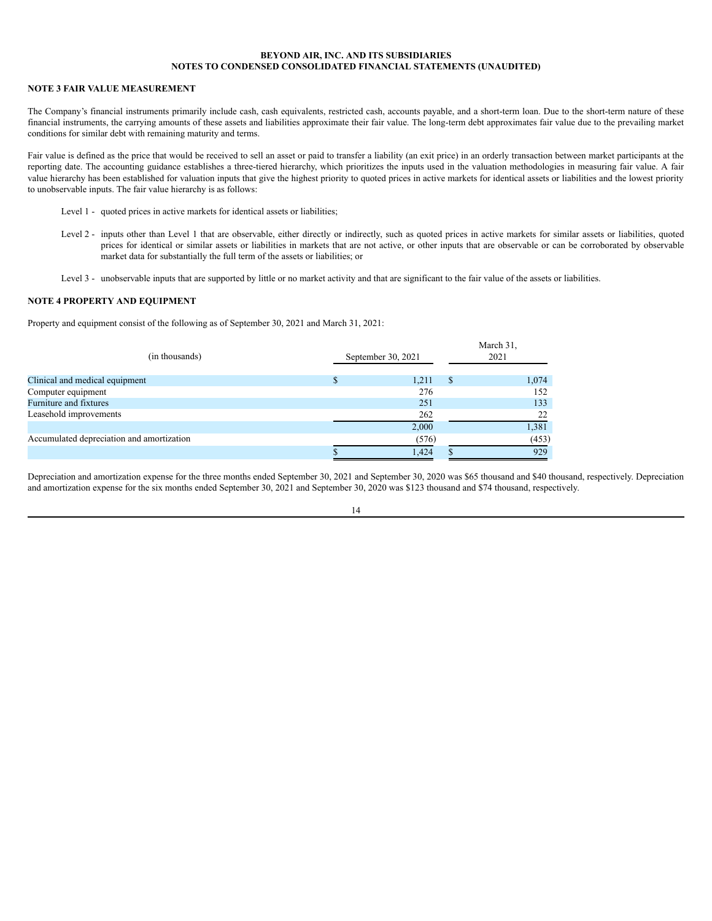### **NOTE 3 FAIR VALUE MEASUREMENT**

The Company's financial instruments primarily include cash, cash equivalents, restricted cash, accounts payable, and a short-term loan. Due to the short-term nature of these financial instruments, the carrying amounts of these assets and liabilities approximate their fair value. The long-term debt approximates fair value due to the prevailing market conditions for similar debt with remaining maturity and terms.

Fair value is defined as the price that would be received to sell an asset or paid to transfer a liability (an exit price) in an orderly transaction between market participants at the reporting date. The accounting guidance establishes a three-tiered hierarchy, which prioritizes the inputs used in the valuation methodologies in measuring fair value. A fair value hierarchy has been established for valuation inputs that give the highest priority to quoted prices in active markets for identical assets or liabilities and the lowest priority to unobservable inputs. The fair value hierarchy is as follows:

- Level 1 quoted prices in active markets for identical assets or liabilities;
- Level 2 inputs other than Level 1 that are observable, either directly or indirectly, such as quoted prices in active markets for similar assets or liabilities, quoted prices for identical or similar assets or liabilities in markets that are not active, or other inputs that are observable or can be corroborated by observable market data for substantially the full term of the assets or liabilities; or
- Level 3 unobservable inputs that are supported by little or no market activity and that are significant to the fair value of the assets or liabilities.

### **NOTE 4 PROPERTY AND EQUIPMENT**

Property and equipment consist of the following as of September 30, 2021 and March 31, 2021:

| (in thousands)                            | September 30, 2021 |       |               | March 31.<br>2021 |  |  |
|-------------------------------------------|--------------------|-------|---------------|-------------------|--|--|
| Clinical and medical equipment            |                    | 1,211 | <sup>\$</sup> | 1,074             |  |  |
| Computer equipment                        |                    | 276   |               | 152               |  |  |
| Furniture and fixtures                    |                    | 251   |               | 133               |  |  |
| Leasehold improvements                    |                    | 262   |               | 22                |  |  |
|                                           |                    | 2,000 |               | 1,381             |  |  |
| Accumulated depreciation and amortization |                    | (576) |               | (453)             |  |  |
|                                           |                    | 1.424 |               | 929               |  |  |

Depreciation and amortization expense for the three months ended September 30, 2021 and September 30, 2020 was \$65 thousand and \$40 thousand, respectively. Depreciation and amortization expense for the six months ended September 30, 2021 and September 30, 2020 was \$123 thousand and \$74 thousand, respectively.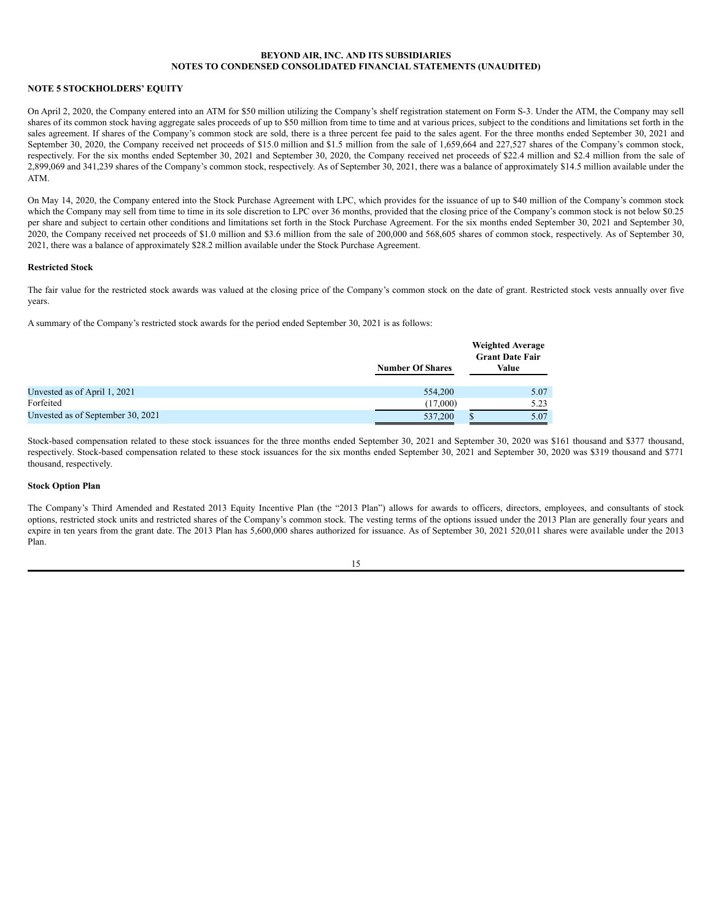### **NOTE 5 STOCKHOLDERS' EQUITY**

On April 2, 2020, the Company entered into an ATM for \$50 million utilizing the Company's shelf registration statement on Form S-3. Under the ATM, the Company may sell shares of its common stock having aggregate sales proceeds of up to \$50 million from time to time and at various prices, subject to the conditions and limitations set forth in the sales agreement. If shares of the Company's common stock are sold, there is a three percent fee paid to the sales agent. For the three months ended September 30, 2021 and September 30, 2020, the Company received net proceeds of \$15.0 million and \$1.5 million from the sale of 1,659,664 and 227,527 shares of the Company's common stock, respectively. For the six months ended September 30, 2021 and September 30, 2020, the Company received net proceeds of \$22.4 million and \$2.4 million from the sale of 2,899,069 and 341,239 shares of the Company's common stock, respectively. As of September 30, 2021, there was a balance of approximately \$14.5 million available under the ATM.

On May 14, 2020, the Company entered into the Stock Purchase Agreement with LPC, which provides for the issuance of up to \$40 million of the Company's common stock which the Company may sell from time to time in its sole discretion to LPC over 36 months, provided that the closing price of the Company's common stock is not below \$0.25 per share and subject to certain other conditions and limitations set forth in the Stock Purchase Agreement. For the six months ended September 30, 2021 and September 30, 2020, the Company received net proceeds of \$1.0 million and \$3.6 million from the sale of 200,000 and 568,605 shares of common stock, respectively. As of September 30, 2021, there was a balance of approximately \$28.2 million available under the Stock Purchase Agreement.

#### **Restricted Stock**

The fair value for the restricted stock awards was valued at the closing price of the Company's common stock on the date of grant. Restricted stock vests annually over five years.

A summary of the Company's restricted stock awards for the period ended September 30, 2021 is as follows:

|                                   | <b>Number Of Shares</b> | <b>Weighted Average</b><br><b>Grant Date Fair</b><br>Value |
|-----------------------------------|-------------------------|------------------------------------------------------------|
| Unvested as of April 1, 2021      | 554,200                 | 5.07                                                       |
| Forfeited                         | (17.000)                | 5.23                                                       |
| Unvested as of September 30, 2021 | 537.200                 | 5.07                                                       |

Stock-based compensation related to these stock issuances for the three months ended September 30, 2021 and September 30, 2020 was \$161 thousand and \$377 thousand, respectively. Stock-based compensation related to these stock issuances for the six months ended September 30, 2021 and September 30, 2020 was \$319 thousand and \$771 thousand, respectively.

### **Stock Option Plan**

The Company's Third Amended and Restated 2013 Equity Incentive Plan (the "2013 Plan") allows for awards to officers, directors, employees, and consultants of stock options, restricted stock units and restricted shares of the Company's common stock. The vesting terms of the options issued under the 2013 Plan are generally four years and expire in ten years from the grant date. The 2013 Plan has 5,600,000 shares authorized for issuance. As of September 30, 2021 520,011 shares were available under the 2013 Plan.

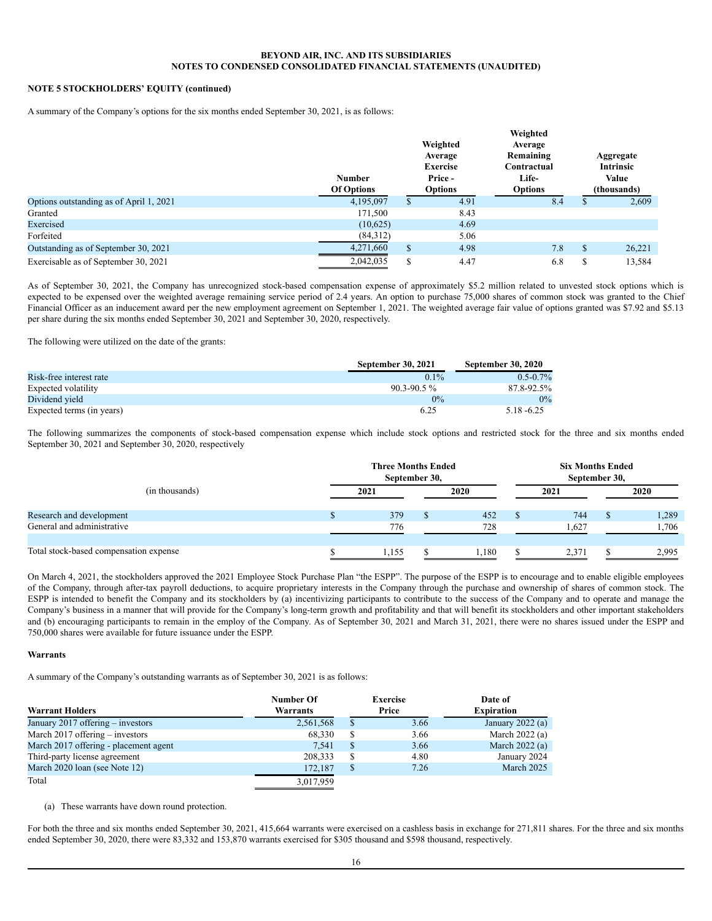# **NOTE 5 STOCKHOLDERS' EQUITY (continued)**

A summary of the Company's options for the six months ended September 30, 2021, is as follows:

|                                         | <b>Number</b><br><b>Of Options</b> |               | Weighted<br>Average<br><b>Exercise</b><br>Price -<br><b>Options</b> | Weighted<br>Average<br>Remaining<br>Contractual<br>Life-<br><b>Options</b> |   | Aggregate<br>Intrinsic<br>Value<br>(thousands) |
|-----------------------------------------|------------------------------------|---------------|---------------------------------------------------------------------|----------------------------------------------------------------------------|---|------------------------------------------------|
| Options outstanding as of April 1, 2021 | 4,195,097                          | P.            | 4.91                                                                | 8.4                                                                        |   | 2,609                                          |
| Granted                                 | 171.500                            |               | 8.43                                                                |                                                                            |   |                                                |
| Exercised                               | (10,625)                           |               | 4.69                                                                |                                                                            |   |                                                |
| Forfeited                               | (84,312)                           |               | 5.06                                                                |                                                                            |   |                                                |
| Outstanding as of September 30, 2021    | 4,271,660                          | <sup>\$</sup> | 4.98                                                                | 7.8                                                                        | S | 26,221                                         |
| Exercisable as of September 30, 2021    | 2,042,035                          |               | 4.47                                                                | 6.8                                                                        |   | 13.584                                         |

As of September 30, 2021, the Company has unrecognized stock-based compensation expense of approximately \$5.2 million related to unvested stock options which is expected to be expensed over the weighted average remaining service period of 2.4 years. An option to purchase 75,000 shares of common stock was granted to the Chief Financial Officer as an inducement award per the new employment agreement on September 1, 2021. The weighted average fair value of options granted was \$7.92 and \$5.13 per share during the six months ended September 30, 2021 and September 30, 2020, respectively.

The following were utilized on the date of the grants:

|                           | <b>September 30, 2021</b> | <b>September 30, 2020</b> |
|---------------------------|---------------------------|---------------------------|
| Risk-free interest rate   | $0.1\%$                   | $0.5 - 0.7\%$             |
| Expected volatility       | $90.3 - 90.5\%$           | 87.8-92.5%                |
| Dividend vield            | 0%                        | $0\%$                     |
| Expected terms (in years) | 6.25                      | 5.18 - 6.25               |

The following summarizes the components of stock-based compensation expense which include stock options and restricted stock for the three and six months ended September 30, 2021 and September 30, 2020, respectively

|                                        |  | <b>Three Months Ended</b><br>September 30, |  |       |  | <b>Six Months Ended</b><br>September 30, |  |       |  |
|----------------------------------------|--|--------------------------------------------|--|-------|--|------------------------------------------|--|-------|--|
| (in thousands)                         |  | 2021                                       |  | 2020  |  | 2021                                     |  | 2020  |  |
| Research and development               |  | 379                                        |  | 452   |  | 744                                      |  | 1,289 |  |
| General and administrative             |  | 776                                        |  | 728   |  | 1,627                                    |  | .706  |  |
| Total stock-based compensation expense |  | 1.155                                      |  | 1.180 |  | 2,371                                    |  | 2,995 |  |

On March 4, 2021, the stockholders approved the 2021 Employee Stock Purchase Plan "the ESPP". The purpose of the ESPP is to encourage and to enable eligible employees of the Company, through after-tax payroll deductions, to acquire proprietary interests in the Company through the purchase and ownership of shares of common stock. The ESPP is intended to benefit the Company and its stockholders by (a) incentivizing participants to contribute to the success of the Company and to operate and manage the Company's business in a manner that will provide for the Company's long-term growth and profitability and that will benefit its stockholders and other important stakeholders and (b) encouraging participants to remain in the employ of the Company. As of September 30, 2021 and March 31, 2021, there were no shares issued under the ESPP and 750,000 shares were available for future issuance under the ESPP.

### **Warrants**

A summary of the Company's outstanding warrants as of September 30, 2021 is as follows:

| <b>Warrant Holders</b>                | Number Of<br>Warrants | <b>Exercise</b><br>Price |      |                  |  | Date of<br><b>Expiration</b> |
|---------------------------------------|-----------------------|--------------------------|------|------------------|--|------------------------------|
| January 2017 offering – investors     | 2,561,568             | \$.                      | 3.66 | January 2022 (a) |  |                              |
| March $2017$ offering – investors     | 68,330                | \$                       | 3.66 | March $2022(a)$  |  |                              |
| March 2017 offering - placement agent | 7.541                 | <sup>\$</sup>            | 3.66 | March $2022(a)$  |  |                              |
| Third-party license agreement         | 208,333               | S                        | 4.80 | January 2024     |  |                              |
| March 2020 loan (see Note 12)         | 172.187               | \$                       | 7.26 | March 2025       |  |                              |
| Total                                 | 3,017,959             |                          |      |                  |  |                              |

(a) These warrants have down round protection.

For both the three and six months ended September 30, 2021, 415,664 warrants were exercised on a cashless basis in exchange for 271,811 shares. For the three and six months ended September 30, 2020, there were 83,332 and 153,870 warrants exercised for \$305 thousand and \$598 thousand, respectively.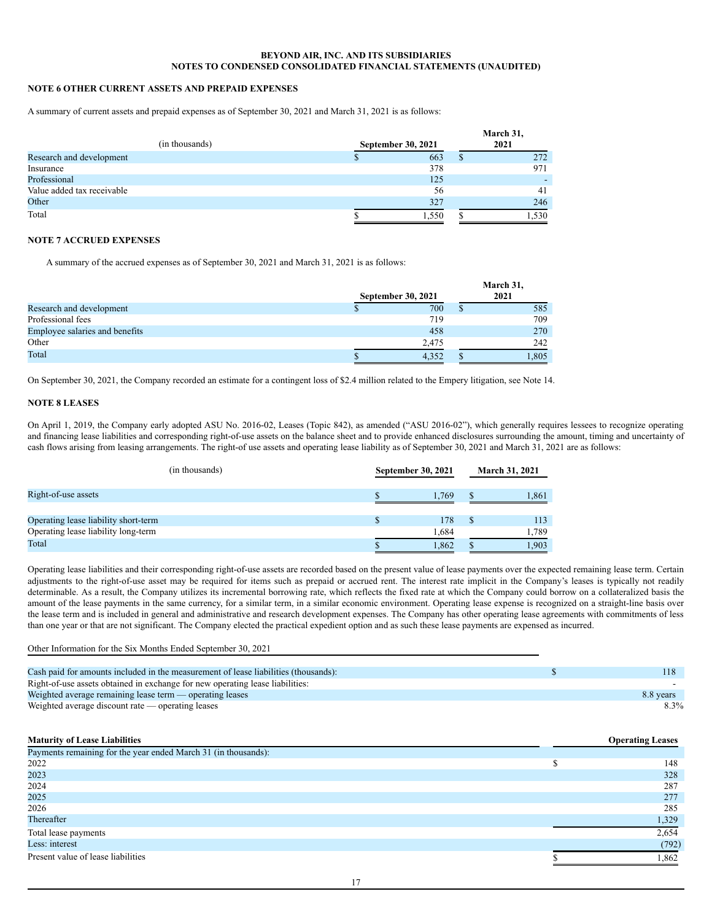### **NOTE 6 OTHER CURRENT ASSETS AND PREPAID EXPENSES**

A summary of current assets and prepaid expenses as of September 30, 2021 and March 31, 2021 is as follows:

| (in thousands)             | September 30, 2021 |       |    | March 31,<br>2021 |
|----------------------------|--------------------|-------|----|-------------------|
| Research and development   |                    | 663   | ۰D | 272               |
| Insurance                  |                    | 378   |    | 971               |
| Professional               |                    | 125   |    |                   |
| Value added tax receivable |                    | 56    |    | 41                |
| Other                      |                    | 327   |    | 246               |
| Total                      |                    | 1,550 |    | .530              |

### **NOTE 7 ACCRUED EXPENSES**

A summary of the accrued expenses as of September 30, 2021 and March 31, 2021 is as follows:

|                                | <b>September 30, 2021</b> |       | March 31,<br>2021 |
|--------------------------------|---------------------------|-------|-------------------|
| Research and development       |                           | 700   | 585               |
| Professional fees              |                           | 719   | 709               |
| Employee salaries and benefits |                           | 458   | 270               |
| Other                          |                           | 2,475 | 242               |
| Total                          |                           | 4.352 | 1,805             |

On September 30, 2021, the Company recorded an estimate for a contingent loss of \$2.4 million related to the Empery litigation, see Note 14.

### **NOTE 8 LEASES**

On April 1, 2019, the Company early adopted ASU No. 2016-02, Leases (Topic 842), as amended ("ASU 2016-02"), which generally requires lessees to recognize operating and financing lease liabilities and corresponding right-of-use assets on the balance sheet and to provide enhanced disclosures surrounding the amount, timing and uncertainty of cash flows arising from leasing arrangements. The right-of use assets and operating lease liability as of September 30, 2021 and March 31, 2021 are as follows:

| (in thousands)                                                              | <b>September 30, 2021</b> | <b>March 31, 2021</b> |  |
|-----------------------------------------------------------------------------|---------------------------|-----------------------|--|
| Right-of-use assets                                                         | 1,769                     | 1.861                 |  |
| Operating lease liability short-term<br>Operating lease liability long-term | 178<br>1.684              | 113<br>1.789          |  |
| Total                                                                       | 1,862                     | .903                  |  |

Operating lease liabilities and their corresponding right-of-use assets are recorded based on the present value of lease payments over the expected remaining lease term. Certain adjustments to the right-of-use asset may be required for items such as prepaid or accrued rent. The interest rate implicit in the Company's leases is typically not readily determinable. As a result, the Company utilizes its incremental borrowing rate, which reflects the fixed rate at which the Company could borrow on a collateralized basis the amount of the lease payments in the same currency, for a similar term, in a similar economic environment. Operating lease expense is recognized on a straight-line basis over the lease term and is included in general and administrative and research development expenses. The Company has other operating lease agreements with commitments of less than one year or that are not significant. The Company elected the practical expedient option and as such these lease payments are expensed as incurred.

### Other Information for the Six Months Ended September 30, 2021

| Cash paid for amounts included in the measurement of lease liabilities (thousands): |           |
|-------------------------------------------------------------------------------------|-----------|
| Right-of-use assets obtained in exchange for new operating lease liabilities:       |           |
| Weighted average remaining lease term — operating leases                            | 8.8 years |
| Weighted average discount rate — operating leases                                   | 8.3%      |

| <b>Maturity of Lease Liabilities</b>                           | <b>Operating Leases</b> |
|----------------------------------------------------------------|-------------------------|
| Payments remaining for the year ended March 31 (in thousands): |                         |
| 2022                                                           | 148                     |
| 2023                                                           | 328                     |
| 2024                                                           | 287                     |
| 2025                                                           | 277                     |
| 2026                                                           | 285                     |
| Thereafter                                                     | 1,329                   |
| Total lease payments                                           | 2,654                   |
| Less: interest                                                 | (792)                   |
| Present value of lease liabilities                             | 1,862                   |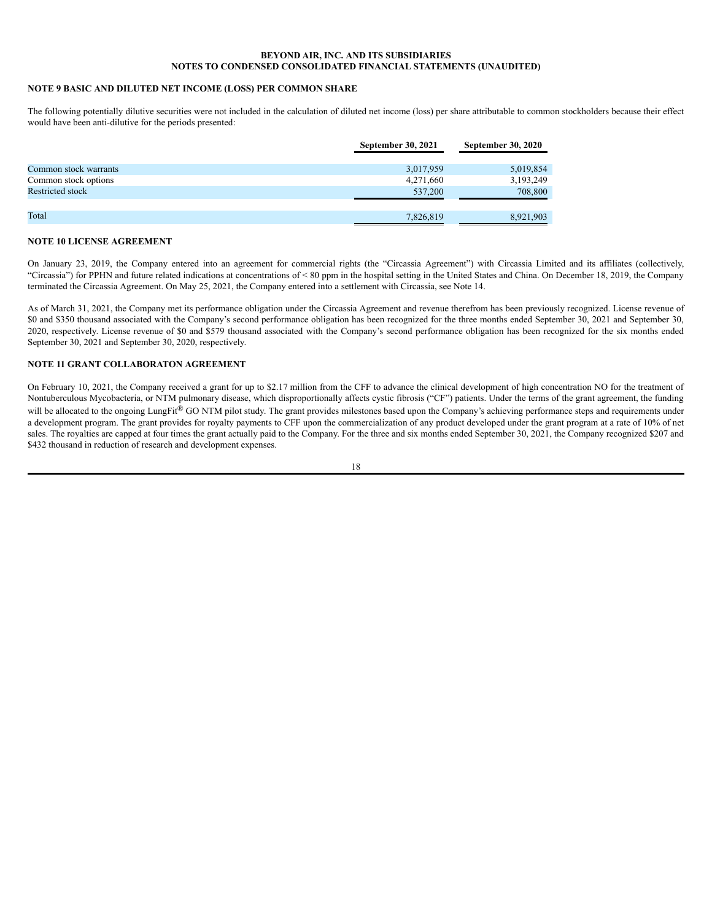### **NOTE 9 BASIC AND DILUTED NET INCOME (LOSS) PER COMMON SHARE**

The following potentially dilutive securities were not included in the calculation of diluted net income (loss) per share attributable to common stockholders because their effect would have been anti-dilutive for the periods presented:

|                       | <b>September 30, 2021</b> | <b>September 30, 2020</b> |
|-----------------------|---------------------------|---------------------------|
|                       |                           |                           |
| Common stock warrants | 3,017,959                 | 5,019,854                 |
| Common stock options  | 4,271,660                 | 3,193,249                 |
| Restricted stock      | 537,200                   | 708,800                   |
|                       |                           |                           |
| Total                 | 7,826,819                 | 8,921,903                 |

### **NOTE 10 LICENSE AGREEMENT**

On January 23, 2019, the Company entered into an agreement for commercial rights (the "Circassia Agreement") with Circassia Limited and its affiliates (collectively, "Circassia") for PPHN and future related indications at concentrations of < 80 ppm in the hospital setting in the United States and China. On December 18, 2019, the Company terminated the Circassia Agreement. On May 25, 2021, the Company entered into a settlement with Circassia, see Note 14.

As of March 31, 2021, the Company met its performance obligation under the Circassia Agreement and revenue therefrom has been previously recognized. License revenue of \$0 and \$350 thousand associated with the Company's second performance obligation has been recognized for the three months ended September 30, 2021 and September 30, 2020, respectively. License revenue of \$0 and \$579 thousand associated with the Company's second performance obligation has been recognized for the six months ended September 30, 2021 and September 30, 2020, respectively.

### **NOTE 11 GRANT COLLABORATON AGREEMENT**

On February 10, 2021, the Company received a grant for up to \$2.17 million from the CFF to advance the clinical development of high concentration NO for the treatment of Nontuberculous Mycobacteria, or NTM pulmonary disease, which disproportionally affects cystic fibrosis ("CF") patients. Under the terms of the grant agreement, the funding will be allocated to the ongoing LungFit® GO NTM pilot study. The grant provides milestones based upon the Company's achieving performance steps and requirements under a development program. The grant provides for royalty payments to CFF upon the commercialization of any product developed under the grant program at a rate of 10% of net sales. The royalties are capped at four times the grant actually paid to the Company. For the three and six months ended September 30, 2021, the Company recognized \$207 and \$432 thousand in reduction of research and development expenses.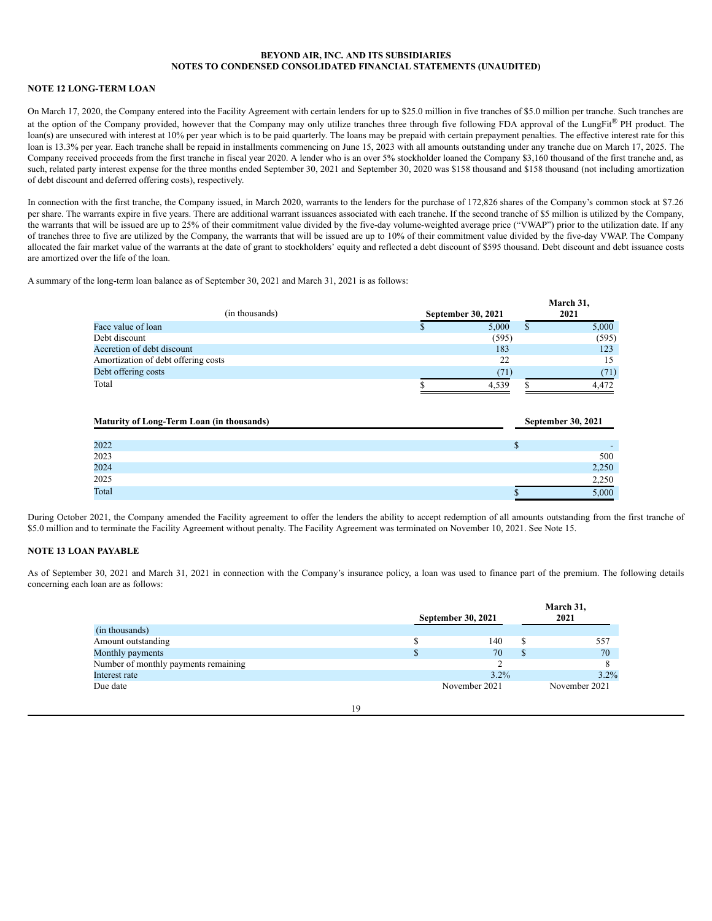### **NOTE 12 LONG-TERM LOAN**

On March 17, 2020, the Company entered into the Facility Agreement with certain lenders for up to \$25.0 million in five tranches of \$5.0 million per tranche. Such tranches are at the option of the Company provided, however that the Company may only utilize tranches three through five following FDA approval of the LungFit® PH product. The loan(s) are unsecured with interest at 10% per year which is to be paid quarterly. The loans may be prepaid with certain prepayment penalties. The effective interest rate for this loan is 13.3% per year. Each tranche shall be repaid in installments commencing on June 15, 2023 with all amounts outstanding under any tranche due on March 17, 2025. The Company received proceeds from the first tranche in fiscal year 2020. A lender who is an over 5% stockholder loaned the Company \$3,160 thousand of the first tranche and, as such, related party interest expense for the three months ended September 30, 2021 and September 30, 2020 was \$158 thousand and \$158 thousand (not including amortization of debt discount and deferred offering costs), respectively.

In connection with the first tranche, the Company issued, in March 2020, warrants to the lenders for the purchase of 172,826 shares of the Company's common stock at \$7.26 per share. The warrants expire in five years. There are additional warrant issuances associated with each tranche. If the second tranche of \$5 million is utilized by the Company, the warrants that will be issued are up to 25% of their commitment value divided by the five-day volume-weighted average price ("VWAP") prior to the utilization date. If any of tranches three to five are utilized by the Company, the warrants that will be issued are up to 10% of their commitment value divided by the five-day VWAP. The Company allocated the fair market value of the warrants at the date of grant to stockholders' equity and reflected a debt discount of \$595 thousand. Debt discount and debt issuance costs are amortized over the life of the loan.

A summary of the long-term loan balance as of September 30, 2021 and March 31, 2021 is as follows:

| (in thousands)                      | September 30, 2021 |       | March 31,<br>2021 |
|-------------------------------------|--------------------|-------|-------------------|
| Face value of loan                  |                    | 5,000 | 5,000             |
| Debt discount                       |                    | (595) | (595)             |
| Accretion of debt discount          |                    | 183   | 123               |
| Amortization of debt offering costs |                    | 22    | 15                |
| Debt offering costs                 |                    | (71)  | (71)              |
| Total                               |                    | 4.539 | 4.472             |

| <b>Maturity of Long-Term Loan (in thousands)</b> | <b>September 30, 2021</b> |
|--------------------------------------------------|---------------------------|
|                                                  |                           |
| 2022                                             |                           |
| 2023                                             | 500                       |
| 2024                                             | 2,250                     |
| 2025                                             | 2,250                     |
| Total                                            | 5,000                     |

During October 2021, the Company amended the Facility agreement to offer the lenders the ability to accept redemption of all amounts outstanding from the first tranche of \$5.0 million and to terminate the Facility Agreement without penalty. The Facility Agreement was terminated on November 10, 2021. See Note 15.

## **NOTE 13 LOAN PAYABLE**

As of September 30, 2021 and March 31, 2021 in connection with the Company's insurance policy, a loan was used to finance part of the premium. The following details concerning each loan are as follows:

|                                      | <b>September 30, 2021</b> | March 31,<br>2021 |
|--------------------------------------|---------------------------|-------------------|
| (in thousands)                       |                           |                   |
| Amount outstanding                   | 140                       | 557               |
| Monthly payments                     | 70                        | 70                |
| Number of monthly payments remaining |                           |                   |
| Interest rate                        | 3.2%                      | $3.2\%$           |
| Due date                             | November 2021             | November 2021     |

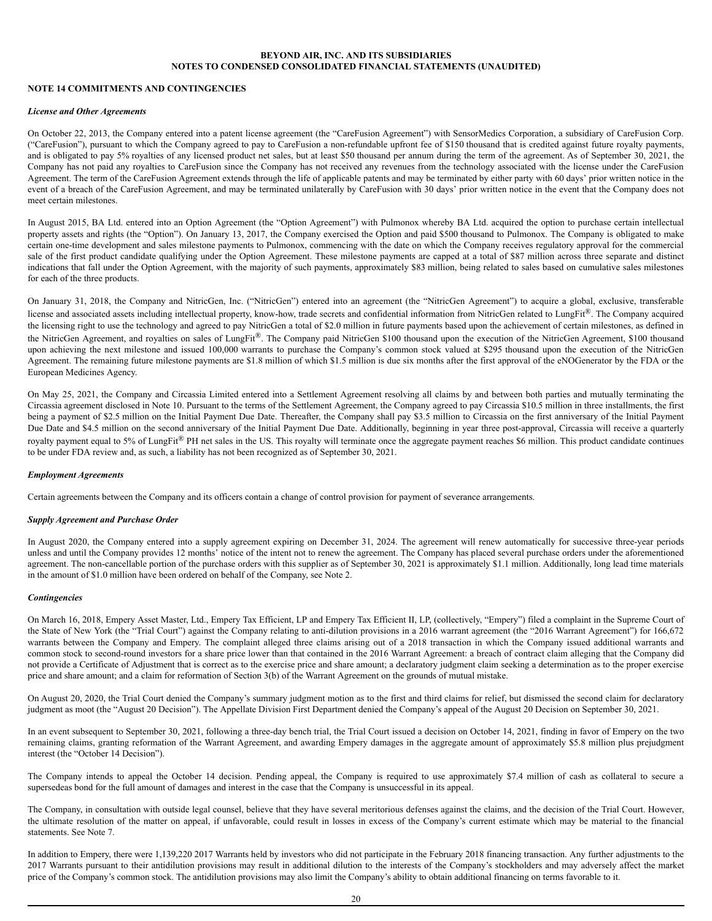### **NOTE 14 COMMITMENTS AND CONTINGENCIES**

#### *License and Other Agreements*

On October 22, 2013, the Company entered into a patent license agreement (the "CareFusion Agreement") with SensorMedics Corporation, a subsidiary of CareFusion Corp. ("CareFusion"), pursuant to which the Company agreed to pay to CareFusion a non-refundable upfront fee of \$150 thousand that is credited against future royalty payments, and is obligated to pay 5% royalties of any licensed product net sales, but at least \$50 thousand per annum during the term of the agreement. As of September 30, 2021, the Company has not paid any royalties to CareFusion since the Company has not received any revenues from the technology associated with the license under the CareFusion Agreement. The term of the CareFusion Agreement extends through the life of applicable patents and may be terminated by either party with 60 days' prior written notice in the event of a breach of the CareFusion Agreement, and may be terminated unilaterally by CareFusion with 30 days' prior written notice in the event that the Company does not meet certain milestones.

In August 2015, BA Ltd. entered into an Option Agreement (the "Option Agreement") with Pulmonox whereby BA Ltd. acquired the option to purchase certain intellectual property assets and rights (the "Option"). On January 13, 2017, the Company exercised the Option and paid \$500 thousand to Pulmonox. The Company is obligated to make certain one-time development and sales milestone payments to Pulmonox, commencing with the date on which the Company receives regulatory approval for the commercial sale of the first product candidate qualifying under the Option Agreement. These milestone payments are capped at a total of \$87 million across three separate and distinct indications that fall under the Option Agreement, with the majority of such payments, approximately \$83 million, being related to sales based on cumulative sales milestones for each of the three products.

On January 31, 2018, the Company and NitricGen, Inc. ("NitricGen") entered into an agreement (the "NitricGen Agreement") to acquire a global, exclusive, transferable license and associated assets including intellectual property, know-how, trade secrets and confidential information from NitricGen related to LungFit®. The Company acquired the licensing right to use the technology and agreed to pay NitricGen a total of \$2.0 million in future payments based upon the achievement of certain milestones, as defined in the NitricGen Agreement, and royalties on sales of LungFit®. The Company paid NitricGen \$100 thousand upon the execution of the NitricGen Agreement, \$100 thousand upon achieving the next milestone and issued 100,000 warrants to purchase the Company's common stock valued at \$295 thousand upon the execution of the NitricGen Agreement. The remaining future milestone payments are \$1.8 million of which \$1.5 million is due six months after the first approval of the eNOGenerator by the FDA or the European Medicines Agency.

On May 25, 2021, the Company and Circassia Limited entered into a Settlement Agreement resolving all claims by and between both parties and mutually terminating the Circassia agreement disclosed in Note 10. Pursuant to the terms of the Settlement Agreement, the Company agreed to pay Circassia \$10.5 million in three installments, the first being a payment of \$2.5 million on the Initial Payment Due Date. Thereafter, the Company shall pay \$3.5 million to Circassia on the first anniversary of the Initial Payment Due Date and \$4.5 million on the second anniversary of the Initial Payment Due Date. Additionally, beginning in year three post-approval, Circassia will receive a quarterly royalty payment equal to 5% of LungFit® PH net sales in the US. This royalty will terminate once the aggregate payment reaches \$6 million. This product candidate continues to be under FDA review and, as such, a liability has not been recognized as of September 30, 2021.

#### *Employment Agreements*

Certain agreements between the Company and its officers contain a change of control provision for payment of severance arrangements.

### *Supply Agreement and Purchase Order*

In August 2020, the Company entered into a supply agreement expiring on December 31, 2024. The agreement will renew automatically for successive three-year periods unless and until the Company provides 12 months' notice of the intent not to renew the agreement. The Company has placed several purchase orders under the aforementioned agreement. The non-cancellable portion of the purchase orders with this supplier as of September 30, 2021 is approximately \$1.1 million. Additionally, long lead time materials in the amount of \$1.0 million have been ordered on behalf of the Company, see Note 2.

#### *Contingencies*

On March 16, 2018, Empery Asset Master, Ltd., Empery Tax Efficient, LP and Empery Tax Efficient II, LP, (collectively, "Empery") filed a complaint in the Supreme Court of the State of New York (the "Trial Court") against the Company relating to anti-dilution provisions in a 2016 warrant agreement (the "2016 Warrant Agreement") for 166,672 warrants between the Company and Empery. The complaint alleged three claims arising out of a 2018 transaction in which the Company issued additional warrants and common stock to second-round investors for a share price lower than that contained in the 2016 Warrant Agreement: a breach of contract claim alleging that the Company did not provide a Certificate of Adjustment that is correct as to the exercise price and share amount; a declaratory judgment claim seeking a determination as to the proper exercise price and share amount; and a claim for reformation of Section 3(b) of the Warrant Agreement on the grounds of mutual mistake.

On August 20, 2020, the Trial Court denied the Company's summary judgment motion as to the first and third claims for relief, but dismissed the second claim for declaratory judgment as moot (the "August 20 Decision"). The Appellate Division First Department denied the Company's appeal of the August 20 Decision on September 30, 2021.

In an event subsequent to September 30, 2021, following a three-day bench trial, the Trial Court issued a decision on October 14, 2021, finding in favor of Empery on the two remaining claims, granting reformation of the Warrant Agreement, and awarding Empery damages in the aggregate amount of approximately \$5.8 million plus prejudgment interest (the "October 14 Decision").

The Company intends to appeal the October 14 decision. Pending appeal, the Company is required to use approximately \$7.4 million of cash as collateral to secure a supersedeas bond for the full amount of damages and interest in the case that the Company is unsuccessful in its appeal.

The Company, in consultation with outside legal counsel, believe that they have several meritorious defenses against the claims, and the decision of the Trial Court. However, the ultimate resolution of the matter on appeal, if unfavorable, could result in losses in excess of the Company's current estimate which may be material to the financial statements. See Note 7.

In addition to Empery, there were 1,139,220 2017 Warrants held by investors who did not participate in the February 2018 financing transaction. Any further adjustments to the 2017 Warrants pursuant to their antidilution provisions may result in additional dilution to the interests of the Company's stockholders and may adversely affect the market price of the Company's common stock. The antidilution provisions may also limit the Company's ability to obtain additional financing on terms favorable to it.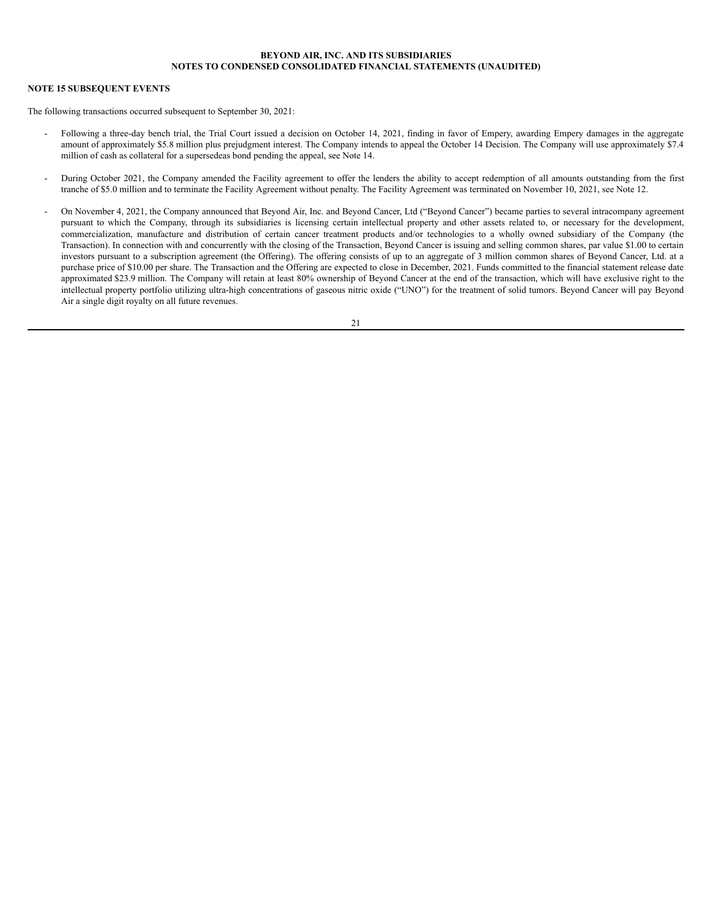### **NOTE 15 SUBSEQUENT EVENTS**

The following transactions occurred subsequent to September 30, 2021:

- Following a three-day bench trial, the Trial Court issued a decision on October 14, 2021, finding in favor of Empery, awarding Empery damages in the aggregate amount of approximately \$5.8 million plus prejudgment interest. The Company intends to appeal the October 14 Decision. The Company will use approximately \$7.4 million of cash as collateral for a supersedeas bond pending the appeal, see Note 14.
- During October 2021, the Company amended the Facility agreement to offer the lenders the ability to accept redemption of all amounts outstanding from the first tranche of \$5.0 million and to terminate the Facility Agreement without penalty. The Facility Agreement was terminated on November 10, 2021, see Note 12.
- On November 4, 2021, the Company announced that Beyond Air, Inc. and Beyond Cancer, Ltd ("Beyond Cancer") became parties to several intracompany agreement pursuant to which the Company, through its subsidiaries is licensing certain intellectual property and other assets related to, or necessary for the development, commercialization, manufacture and distribution of certain cancer treatment products and/or technologies to a wholly owned subsidiary of the Company (the Transaction). In connection with and concurrently with the closing of the Transaction, Beyond Cancer is issuing and selling common shares, par value \$1.00 to certain investors pursuant to a subscription agreement (the Offering). The offering consists of up to an aggregate of 3 million common shares of Beyond Cancer, Ltd. at a purchase price of \$10.00 per share. The Transaction and the Offering are expected to close in December, 2021. Funds committed to the financial statement release date approximated \$23.9 million. The Company will retain at least 80% ownership of Beyond Cancer at the end of the transaction, which will have exclusive right to the intellectual property portfolio utilizing ultra-high concentrations of gaseous nitric oxide ("UNO") for the treatment of solid tumors. Beyond Cancer will pay Beyond Air a single digit royalty on all future revenues.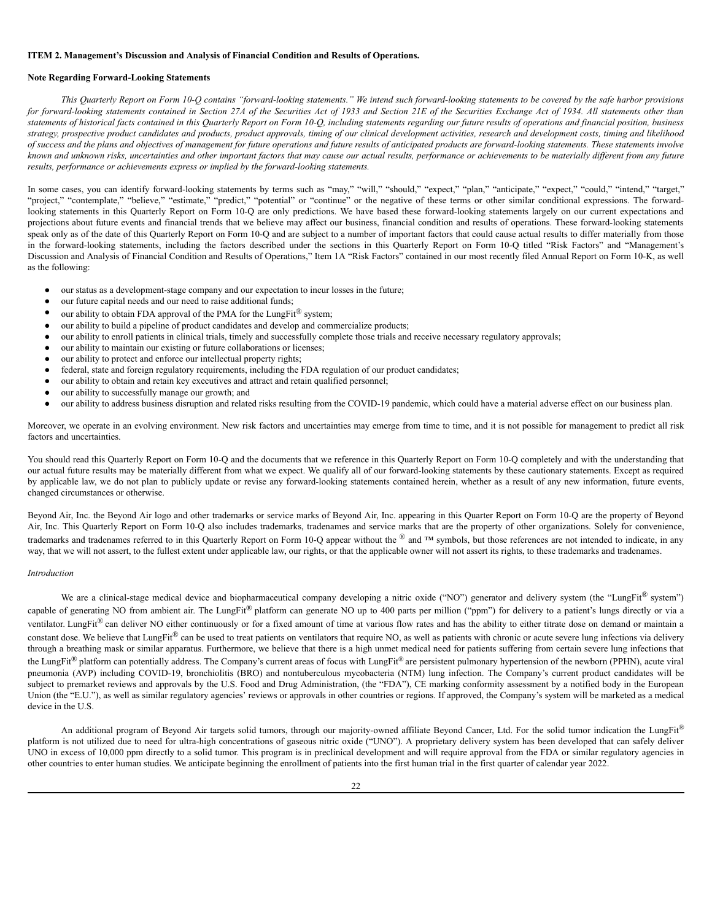#### <span id="page-21-0"></span>**ITEM 2. Management's Discussion and Analysis of Financial Condition and Results of Operations.**

### **Note Regarding Forward-Looking Statements**

This Quarterly Report on Form 10-Q contains "forward-looking statements." We intend such forward-looking statements to be covered by the safe harbor provisions for forward-looking statements contained in Section 27A of the Securities Act of 1933 and Section 21E of the Securities Exchange Act of 1934. All statements other than statements of historical facts contained in this Quarterly Report on Form 10-Q, including statements regarding our future results of operations and financial position, business strategy, prospective product candidates and products, product approvals, timing of our clinical development activities, research and development costs, timing and likelihood of success and the plans and objectives of management for future operations and future results of anticipated products are forward-looking statements. These statements involve known and unknown risks, uncertainties and other important factors that may cause our actual results, performance or achievements to be materially different from any future *results, performance or achievements express or implied by the forward-looking statements.*

In some cases, you can identify forward-looking statements by terms such as "may," "will," "should," "expect," "plan," "anticipate," "expect," "could," "intend," "target," "project," "contemplate," "believe," "estimate," "predict," "potential" or "continue" or the negative of these terms or other similar conditional expressions. The forwardlooking statements in this Quarterly Report on Form 10-Q are only predictions. We have based these forward-looking statements largely on our current expectations and projections about future events and financial trends that we believe may affect our business, financial condition and results of operations. These forward-looking statements speak only as of the date of this Quarterly Report on Form 10-Q and are subject to a number of important factors that could cause actual results to differ materially from those in the forward-looking statements, including the factors described under the sections in this Quarterly Report on Form 10-Q titled "Risk Factors" and "Management's Discussion and Analysis of Financial Condition and Results of Operations," Item 1A "Risk Factors" contained in our most recently filed Annual Report on Form 10-K, as well as the following:

- our status as a development-stage company and our expectation to incur losses in the future;
- our future capital needs and our need to raise additional funds;
- our ability to obtain FDA approval of the PMA for the LungFit<sup>®</sup> system;
- our ability to build a pipeline of product candidates and develop and commercialize products;
- our ability to enroll patients in clinical trials, timely and successfully complete those trials and receive necessary regulatory approvals;
- our ability to maintain our existing or future collaborations or licenses;
- our ability to protect and enforce our intellectual property rights;
- federal, state and foreign regulatory requirements, including the FDA regulation of our product candidates;
- our ability to obtain and retain key executives and attract and retain qualified personnel;
- our ability to successfully manage our growth; and
- our ability to address business disruption and related risks resulting from the COVID-19 pandemic, which could have a material adverse effect on our business plan.

Moreover, we operate in an evolving environment. New risk factors and uncertainties may emerge from time to time, and it is not possible for management to predict all risk factors and uncertainties.

You should read this Quarterly Report on Form 10-Q and the documents that we reference in this Quarterly Report on Form 10-Q completely and with the understanding that our actual future results may be materially different from what we expect. We qualify all of our forward-looking statements by these cautionary statements. Except as required by applicable law, we do not plan to publicly update or revise any forward-looking statements contained herein, whether as a result of any new information, future events, changed circumstances or otherwise.

Beyond Air, Inc. the Beyond Air logo and other trademarks or service marks of Beyond Air, Inc. appearing in this Quarter Report on Form 10-Q are the property of Beyond Air, Inc. This Quarterly Report on Form 10-Q also includes trademarks, tradenames and service marks that are the property of other organizations. Solely for convenience, trademarks and tradenames referred to in this Quarterly Report on Form 10-Q appear without the  $^{\circledR}$  and  $^{\text{TM}}$  symbols, but those references are not intended to indicate, in any way, that we will not assert, to the fullest extent under applicable law, our rights, or that the applicable owner will not assert its rights, to these trademarks and tradenames.

### *Introduction*

We are a clinical-stage medical device and biopharmaceutical company developing a nitric oxide ("NO") generator and delivery system (the "LungFit<sup>®</sup> system") capable of generating NO from ambient air. The LungFit<sup>®</sup> platform can generate NO up to 400 parts per million ("ppm") for delivery to a patient's lungs directly or via a ventilator. LungFit<sup>®</sup> can deliver NO either continuously or for a fixed amount of time at various flow rates and has the ability to either titrate dose on demand or maintain a constant dose. We believe that LungFit® can be used to treat patients on ventilators that require NO, as well as patients with chronic or acute severe lung infections via delivery through a breathing mask or similar apparatus. Furthermore, we believe that there is a high unmet medical need for patients suffering from certain severe lung infections that the LungFit<sup>®</sup> platform can potentially address. The Company's current areas of focus with LungFit® are persistent pulmonary hypertension of the newborn (PPHN), acute viral pneumonia (AVP) including COVID-19, bronchiolitis (BRO) and nontuberculous mycobacteria (NTM) lung infection. The Company's current product candidates will be subject to premarket reviews and approvals by the U.S. Food and Drug Administration, (the "FDA"), CE marking conformity assessment by a notified body in the European Union (the "E.U."), as well as similar regulatory agencies' reviews or approvals in other countries or regions. If approved, the Company's system will be marketed as a medical device in the U.S.

An additional program of Beyond Air targets solid tumors, through our majority-owned affiliate Beyond Cancer, Ltd. For the solid tumor indication the LungFit® platform is not utilized due to need for ultra-high concentrations of gaseous nitric oxide ("UNO"). A proprietary delivery system has been developed that can safely deliver UNO in excess of 10,000 ppm directly to a solid tumor. This program is in preclinical development and will require approval from the FDA or similar regulatory agencies in other countries to enter human studies. We anticipate beginning the enrollment of patients into the first human trial in the first quarter of calendar year 2022.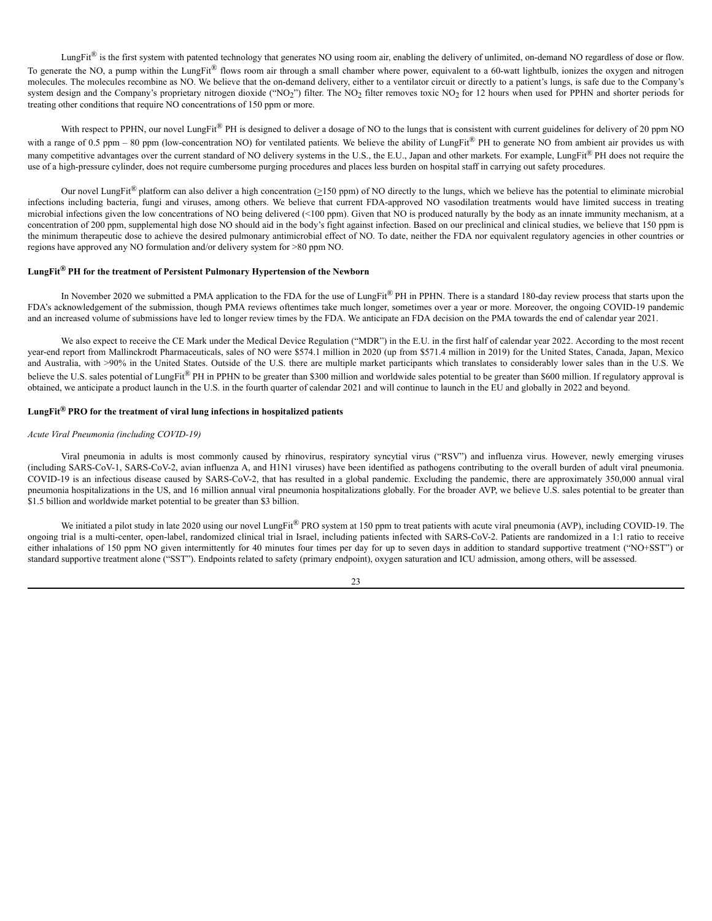LungFit<sup>®</sup> is the first system with patented technology that generates NO using room air, enabling the delivery of unlimited, on-demand NO regardless of dose or flow. To generate the NO, a pump within the LungFit® flows room air through a small chamber where power, equivalent to a 60-watt lightbulb, ionizes the oxygen and nitrogen molecules. The molecules recombine as NO. We believe that the on-demand delivery, either to a ventilator circuit or directly to a patient's lungs, is safe due to the Company's system design and the Company's proprietary nitrogen dioxide ("NO<sub>2</sub>") filter. The NO<sub>2</sub> filter removes toxic NO<sub>2</sub> for 12 hours when used for PPHN and shorter periods for treating other conditions that require NO concentrations of 150 ppm or more.

With respect to PPHN, our novel LungFit<sup>®</sup> PH is designed to deliver a dosage of NO to the lungs that is consistent with current guidelines for delivery of 20 ppm NO with a range of 0.5 ppm – 80 ppm (low-concentration NO) for ventilated patients. We believe the ability of LungFit® PH to generate NO from ambient air provides us with many competitive advantages over the current standard of NO delivery systems in the U.S., the E.U., Japan and other markets. For example, LungFit® PH does not require the use of a high-pressure cylinder, does not require cumbersome purging procedures and places less burden on hospital staff in carrying out safety procedures.

Our novel LungFit<sup>®</sup> platform can also deliver a high concentration ( $\geq$ 150 ppm) of NO directly to the lungs, which we believe has the potential to eliminate microbial infections including bacteria, fungi and viruses, among others. We believe that current FDA-approved NO vasodilation treatments would have limited success in treating microbial infections given the low concentrations of NO being delivered  $($ <100 ppm). Given that NO is produced naturally by the body as an innate immunity mechanism, at a concentration of 200 ppm, supplemental high dose NO should aid in the body's fight against infection. Based on our preclinical and clinical studies, we believe that 150 ppm is the minimum therapeutic dose to achieve the desired pulmonary antimicrobial effect of NO. To date, neither the FDA nor equivalent regulatory agencies in other countries or regions have approved any NO formulation and/or delivery system for >80 ppm NO.

### **LungFit® PH for the treatment of Persistent Pulmonary Hypertension of the Newborn**

In November 2020 we submitted a PMA application to the FDA for the use of LungFit® PH in PPHN. There is a standard 180-day review process that starts upon the FDA's acknowledgement of the submission, though PMA reviews oftentimes take much longer, sometimes over a year or more. Moreover, the ongoing COVID-19 pandemic and an increased volume of submissions have led to longer review times by the FDA. We anticipate an FDA decision on the PMA towards the end of calendar year 2021.

We also expect to receive the CE Mark under the Medical Device Regulation ("MDR") in the E.U. in the first half of calendar year 2022. According to the most recent year-end report from Mallinckrodt Pharmaceuticals, sales of NO were \$574.1 million in 2020 (up from \$571.4 million in 2019) for the United States, Canada, Japan, Mexico and Australia, with >90% in the United States. Outside of the U.S. there are multiple market participants which translates to considerably lower sales than in the U.S. We believe the U.S. sales potential of LungFit® PH in PPHN to be greater than \$300 million and worldwide sales potential to be greater than \$600 million. If regulatory approval is obtained, we anticipate a product launch in the U.S. in the fourth quarter of calendar 2021 and will continue to launch in the EU and globally in 2022 and beyond.

### **LungFit® PRO for the treatment of viral lung infections in hospitalized patients**

### *Acute Viral Pneumonia (including COVID-19)*

Viral pneumonia in adults is most commonly caused by rhinovirus, respiratory syncytial virus ("RSV") and influenza virus. However, newly emerging viruses (including SARS-CoV-1, SARS-CoV-2, avian influenza A, and H1N1 viruses) have been identified as pathogens contributing to the overall burden of adult viral pneumonia. COVID-19 is an infectious disease caused by SARS-CoV-2, that has resulted in a global pandemic. Excluding the pandemic, there are approximately 350,000 annual viral pneumonia hospitalizations in the US, and 16 million annual viral pneumonia hospitalizations globally. For the broader AVP, we believe U.S. sales potential to be greater than \$1.5 billion and worldwide market potential to be greater than \$3 billion.

We initiated a pilot study in late 2020 using our novel LungFit<sup>®</sup> PRO system at 150 ppm to treat patients with acute viral pneumonia (AVP), including COVID-19. The ongoing trial is a multi-center, open-label, randomized clinical trial in Israel, including patients infected with SARS-CoV-2. Patients are randomized in a 1:1 ratio to receive either inhalations of 150 ppm NO given intermittently for 40 minutes four times per day for up to seven days in addition to standard supportive treatment ("NO+SST") or standard supportive treatment alone ("SST"). Endpoints related to safety (primary endpoint), oxygen saturation and ICU admission, among others, will be assessed.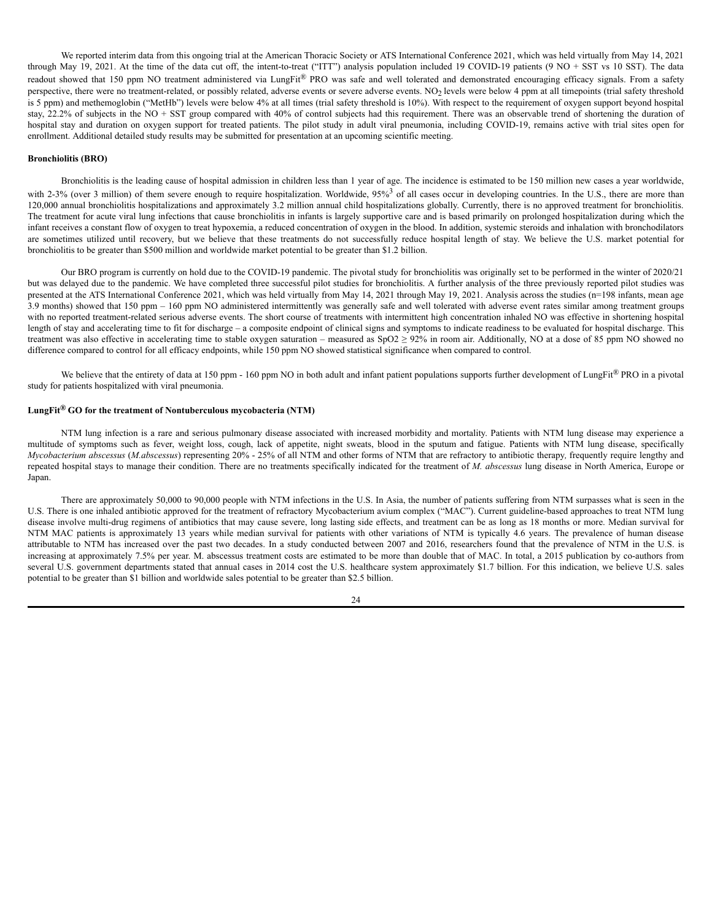We reported interim data from this ongoing trial at the American Thoracic Society or ATS International Conference 2021, which was held virtually from May 14, 2021 through May 19, 2021. At the time of the data cut off, the intent-to-treat ("ITT") analysis population included 19 COVID-19 patients (9 NO + SST vs 10 SST). The data readout showed that 150 ppm NO treatment administered via LungFit® PRO was safe and well tolerated and demonstrated encouraging efficacy signals. From a safety perspective, there were no treatment-related, or possibly related, adverse events or severe adverse events. NO<sub>2</sub> levels were below 4 ppm at all timepoints (trial safety threshold is 5 ppm) and methemoglobin ("MetHb") levels were below 4% at all times (trial safety threshold is 10%). With respect to the requirement of oxygen support beyond hospital stay, 22.2% of subjects in the NO + SST group compared with 40% of control subjects had this requirement. There was an observable trend of shortening the duration of hospital stay and duration on oxygen support for treated patients. The pilot study in adult viral pneumonia, including COVID-19, remains active with trial sites open for enrollment. Additional detailed study results may be submitted for presentation at an upcoming scientific meeting.

#### **Bronchiolitis (BRO)**

Bronchiolitis is the leading cause of hospital admission in children less than 1 year of age. The incidence is estimated to be 150 million new cases a year worldwide, with 2-3% (over 3 million) of them severe enough to require hospitalization. Worldwide,  $95\%$ <sup>3</sup> of all cases occur in developing countries. In the U.S., there are more than 120,000 annual bronchiolitis hospitalizations and approximately 3.2 million annual child hospitalizations globally. Currently, there is no approved treatment for bronchiolitis. The treatment for acute viral lung infections that cause bronchiolitis in infants is largely supportive care and is based primarily on prolonged hospitalization during which the infant receives a constant flow of oxygen to treat hypoxemia, a reduced concentration of oxygen in the blood. In addition, systemic steroids and inhalation with bronchodilators are sometimes utilized until recovery, but we believe that these treatments do not successfully reduce hospital length of stay. We believe the U.S. market potential for bronchiolitis to be greater than \$500 million and worldwide market potential to be greater than \$1.2 billion.

Our BRO program is currently on hold due to the COVID-19 pandemic. The pivotal study for bronchiolitis was originally set to be performed in the winter of 2020/21 but was delayed due to the pandemic. We have completed three successful pilot studies for bronchiolitis. A further analysis of the three previously reported pilot studies was presented at the ATS International Conference 2021, which was held virtually from May 14, 2021 through May 19, 2021. Analysis across the studies (n=198 infants, mean age 3.9 months) showed that 150 ppm – 160 ppm NO administered intermittently was generally safe and well tolerated with adverse event rates similar among treatment groups with no reported treatment-related serious adverse events. The short course of treatments with intermittent high concentration inhaled NO was effective in shortening hospital length of stay and accelerating time to fit for discharge – a composite endpoint of clinical signs and symptoms to indicate readiness to be evaluated for hospital discharge. This treatment was also effective in accelerating time to stable oxygen saturation – measured as  $SpO2 \ge 92\%$  in room air. Additionally, NO at a dose of 85 ppm NO showed no difference compared to control for all efficacy endpoints, while 150 ppm NO showed statistical significance when compared to control.

We believe that the entirety of data at 150 ppm - 160 ppm NO in both adult and infant patient populations supports further development of LungFit<sup>®</sup> PRO in a pivotal study for patients hospitalized with viral pneumonia.

### **LungFit® GO for the treatment of Nontuberculous mycobacteria (NTM)**

NTM lung infection is a rare and serious pulmonary disease associated with increased morbidity and mortality. Patients with NTM lung disease may experience a multitude of symptoms such as fever, weight loss, cough, lack of appetite, night sweats, blood in the sputum and fatigue. Patients with NTM lung disease, specifically *Mycobacterium abscessus* (*M.abscessus*) representing 20% - 25% of all NTM and other forms of NTM that are refractory to antibiotic therapy*,* frequently require lengthy and repeated hospital stays to manage their condition. There are no treatments specifically indicated for the treatment of *M. abscessus* lung disease in North America, Europe or Japan.

There are approximately 50,000 to 90,000 people with NTM infections in the U.S. In Asia, the number of patients suffering from NTM surpasses what is seen in the U.S. There is one inhaled antibiotic approved for the treatment of refractory Mycobacterium avium complex ("MAC"). Current guideline-based approaches to treat NTM lung disease involve multi-drug regimens of antibiotics that may cause severe, long lasting side effects, and treatment can be as long as 18 months or more. Median survival for NTM MAC patients is approximately 13 years while median survival for patients with other variations of NTM is typically 4.6 years. The prevalence of human disease attributable to NTM has increased over the past two decades. In a study conducted between 2007 and 2016, researchers found that the prevalence of NTM in the U.S. is increasing at approximately 7.5% per year. M. abscessus treatment costs are estimated to be more than double that of MAC. In total, a 2015 publication by co-authors from several U.S. government departments stated that annual cases in 2014 cost the U.S. healthcare system approximately \$1.7 billion. For this indication, we believe U.S. sales potential to be greater than \$1 billion and worldwide sales potential to be greater than \$2.5 billion.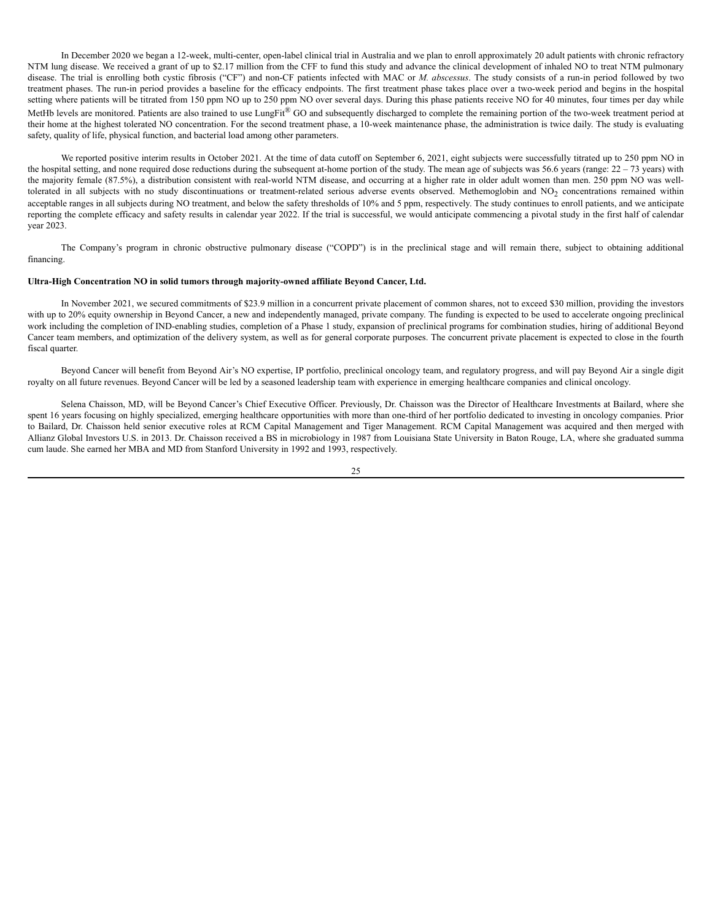In December 2020 we began a 12-week, multi-center, open-label clinical trial in Australia and we plan to enroll approximately 20 adult patients with chronic refractory NTM lung disease. We received a grant of up to \$2.17 million from the CFF to fund this study and advance the clinical development of inhaled NO to treat NTM pulmonary disease. The trial is enrolling both cystic fibrosis ("CF") and non-CF patients infected with MAC or *M. abscessus*. The study consists of a run-in period followed by two treatment phases. The run-in period provides a baseline for the efficacy endpoints. The first treatment phase takes place over a two-week period and begins in the hospital setting where patients will be titrated from 150 ppm NO up to 250 ppm NO over several days. During this phase patients receive NO for 40 minutes, four times per day while MetHb levels are monitored. Patients are also trained to use LungFit® GO and subsequently discharged to complete the remaining portion of the two-week treatment period at their home at the highest tolerated NO concentration. For the second treatment phase, a 10-week maintenance phase, the administration is twice daily. The study is evaluating safety, quality of life, physical function, and bacterial load among other parameters.

We reported positive interim results in October 2021. At the time of data cutoff on September 6, 2021, eight subjects were successfully titrated up to 250 ppm NO in the hospital setting, and none required dose reductions during the subsequent at-home portion of the study. The mean age of subjects was 56.6 years (range:  $22 - 73$  years) with the majority female (87.5%), a distribution consistent with real-world NTM disease, and occurring at a higher rate in older adult women than men. 250 ppm NO was welltolerated in all subjects with no study discontinuations or treatment-related serious adverse events observed. Methemoglobin and NO<sub>2</sub> concentrations remained within acceptable ranges in all subjects during NO treatment, and below the safety thresholds of 10% and 5 ppm, respectively. The study continues to enroll patients, and we anticipate reporting the complete efficacy and safety results in calendar year 2022. If the trial is successful, we would anticipate commencing a pivotal study in the first half of calendar year 2023.

The Company's program in chronic obstructive pulmonary disease ("COPD") is in the preclinical stage and will remain there, subject to obtaining additional financing.

### **Ultra-High Concentration NO in solid tumors through majority-owned affiliate Beyond Cancer, Ltd.**

In November 2021, we secured commitments of \$23.9 million in a concurrent private placement of common shares, not to exceed \$30 million, providing the investors with up to 20% equity ownership in Beyond Cancer, a new and independently managed, private company. The funding is expected to be used to accelerate ongoing preclinical work including the completion of IND-enabling studies, completion of a Phase 1 study, expansion of preclinical programs for combination studies, hiring of additional Beyond Cancer team members, and optimization of the delivery system, as well as for general corporate purposes. The concurrent private placement is expected to close in the fourth fiscal quarter.

Beyond Cancer will benefit from Beyond Air's NO expertise, IP portfolio, preclinical oncology team, and regulatory progress, and will pay Beyond Air a single digit royalty on all future revenues. Beyond Cancer will be led by a seasoned leadership team with experience in emerging healthcare companies and clinical oncology.

Selena Chaisson, MD, will be Beyond Cancer's Chief Executive Officer. Previously, Dr. Chaisson was the Director of Healthcare Investments at Bailard, where she spent 16 years focusing on highly specialized, emerging healthcare opportunities with more than one-third of her portfolio dedicated to investing in oncology companies. Prior to Bailard, Dr. Chaisson held senior executive roles at RCM Capital Management and Tiger Management. RCM Capital Management was acquired and then merged with Allianz Global Investors U.S. in 2013. Dr. Chaisson received a BS in microbiology in 1987 from Louisiana State University in Baton Rouge, LA, where she graduated summa cum laude. She earned her MBA and MD from Stanford University in 1992 and 1993, respectively.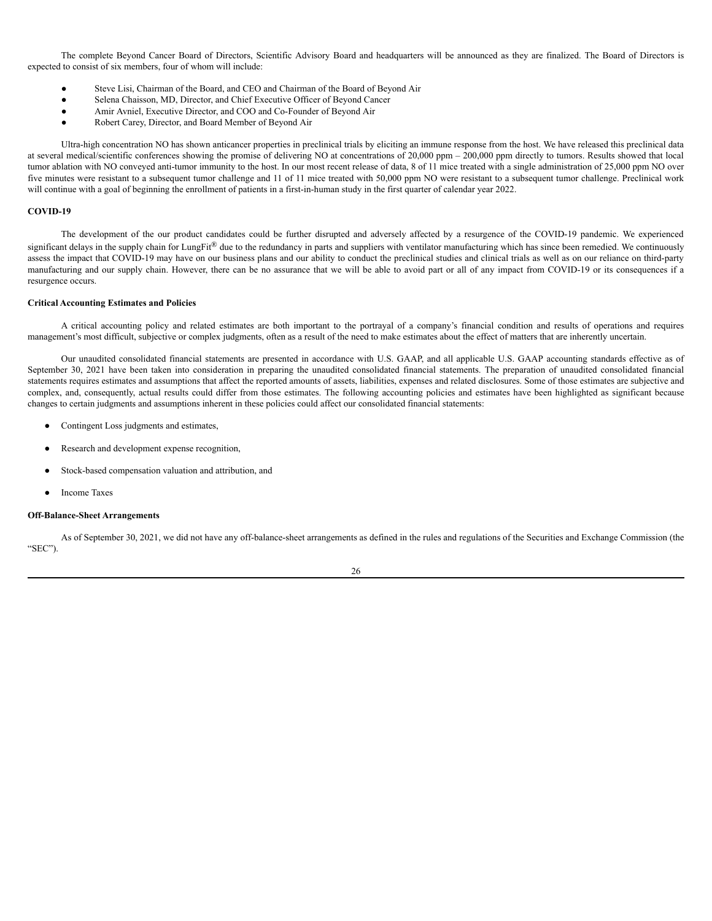The complete Beyond Cancer Board of Directors, Scientific Advisory Board and headquarters will be announced as they are finalized. The Board of Directors is expected to consist of six members, four of whom will include:

- Steve Lisi, Chairman of the Board, and CEO and Chairman of the Board of Beyond Air
- Selena Chaisson, MD, Director, and Chief Executive Officer of Beyond Cancer
- Amir Avniel, Executive Director, and COO and Co-Founder of Beyond Air
- Robert Carey, Director, and Board Member of Beyond Air

Ultra-high concentration NO has shown anticancer properties in preclinical trials by eliciting an immune response from the host. We have released this preclinical data at several medical/scientific conferences showing the promise of delivering NO at concentrations of 20,000 ppm – 200,000 ppm directly to tumors. Results showed that local tumor ablation with NO conveyed anti-tumor immunity to the host. In our most recent release of data, 8 of 11 mice treated with a single administration of 25,000 ppm NO over five minutes were resistant to a subsequent tumor challenge and 11 of 11 mice treated with 50,000 ppm NO were resistant to a subsequent tumor challenge. Preclinical work will continue with a goal of beginning the enrollment of patients in a first-in-human study in the first quarter of calendar year 2022.

#### **COVID-19**

The development of the our product candidates could be further disrupted and adversely affected by a resurgence of the COVID-19 pandemic. We experienced significant delays in the supply chain for LungFit® due to the redundancy in parts and suppliers with ventilator manufacturing which has since been remedied. We continuously assess the impact that COVID-19 may have on our business plans and our ability to conduct the preclinical studies and clinical trials as well as on our reliance on third-party manufacturing and our supply chain. However, there can be no assurance that we will be able to avoid part or all of any impact from COVID-19 or its consequences if a resurgence occurs.

#### **Critical Accounting Estimates and Policies**

A critical accounting policy and related estimates are both important to the portrayal of a company's financial condition and results of operations and requires management's most difficult, subjective or complex judgments, often as a result of the need to make estimates about the effect of matters that are inherently uncertain.

Our unaudited consolidated financial statements are presented in accordance with U.S. GAAP, and all applicable U.S. GAAP accounting standards effective as of September 30, 2021 have been taken into consideration in preparing the unaudited consolidated financial statements. The preparation of unaudited consolidated financial statements requires estimates and assumptions that affect the reported amounts of assets, liabilities, expenses and related disclosures. Some of those estimates are subjective and complex, and, consequently, actual results could differ from those estimates. The following accounting policies and estimates have been highlighted as significant because changes to certain judgments and assumptions inherent in these policies could affect our consolidated financial statements:

- Contingent Loss judgments and estimates,
- Research and development expense recognition,
- Stock-based compensation valuation and attribution, and
- **Income Taxes**

#### **Off-Balance-Sheet Arrangements**

As of September 30, 2021, we did not have any off-balance-sheet arrangements as defined in the rules and regulations of the Securities and Exchange Commission (the "SEC").

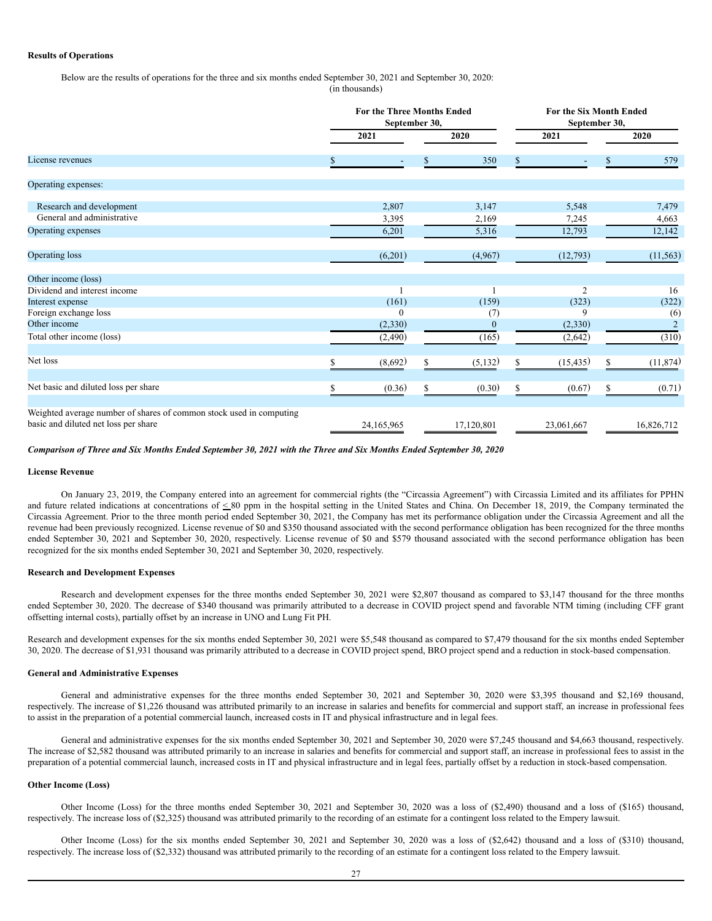### **Results of Operations**

Below are the results of operations for the three and six months ended September 30, 2021 and September 30, 2020:

(in thousands)

|                                                                                                             | <b>For the Three Months Ended</b><br>September 30, |            |    | <b>For the Six Month Ended</b><br>September 30, |    |                |    |                |
|-------------------------------------------------------------------------------------------------------------|----------------------------------------------------|------------|----|-------------------------------------------------|----|----------------|----|----------------|
|                                                                                                             |                                                    | 2021       |    | 2020                                            |    | 2021           |    | 2020           |
| License revenues                                                                                            | S.                                                 |            | \$ | 350                                             | \$ |                | \$ | 579            |
| Operating expenses:                                                                                         |                                                    |            |    |                                                 |    |                |    |                |
| Research and development                                                                                    |                                                    | 2,807      |    | 3,147                                           |    | 5,548          |    | 7,479          |
| General and administrative                                                                                  |                                                    | 3,395      |    | 2,169                                           |    | 7,245          |    | 4,663          |
| Operating expenses                                                                                          |                                                    | 6,201      |    | 5,316                                           |    | 12,793         |    | 12,142         |
| Operating loss                                                                                              |                                                    | (6,201)    |    | (4,967)                                         |    | (12,793)       |    | (11, 563)      |
| Other income (loss)                                                                                         |                                                    |            |    |                                                 |    |                |    |                |
| Dividend and interest income                                                                                |                                                    |            |    |                                                 |    | $\overline{2}$ |    | 16             |
| Interest expense                                                                                            |                                                    | (161)      |    | (159)                                           |    | (323)          |    | (322)          |
| Foreign exchange loss                                                                                       |                                                    | $\theta$   |    | (7)                                             |    | 9              |    | (6)            |
| Other income                                                                                                |                                                    | (2,330)    |    | $\mathbf{0}$                                    |    | (2,330)        |    | $\overline{2}$ |
| Total other income (loss)                                                                                   |                                                    | (2, 490)   |    | (165)                                           |    | (2,642)        |    | (310)          |
| Net loss                                                                                                    |                                                    | (8,692)    | \$ | (5, 132)                                        | \$ | (15, 435)      | S  | (11, 874)      |
| Net basic and diluted loss per share                                                                        | \$                                                 | (0.36)     | \$ | (0.30)                                          | \$ | (0.67)         | \$ | (0.71)         |
| Weighted average number of shares of common stock used in computing<br>basic and diluted net loss per share |                                                    | 24,165,965 |    | 17,120,801                                      |    | 23,061,667     |    | 16,826,712     |
|                                                                                                             |                                                    |            |    |                                                 |    |                |    |                |

#### Comparison of Three and Six Months Ended September 30, 2021 with the Three and Six Months Ended September 30, 2020

#### **License Revenue**

On January 23, 2019, the Company entered into an agreement for commercial rights (the "Circassia Agreement") with Circassia Limited and its affiliates for PPHN and future related indications at concentrations of  $\leq 80$  ppm in the hospital setting in the United States and China. On December 18, 2019, the Company terminated the Circassia Agreement. Prior to the three month period ended September 30, 2021, the Company has met its performance obligation under the Circassia Agreement and all the revenue had been previously recognized. License revenue of \$0 and \$350 thousand associated with the second performance obligation has been recognized for the three months ended September 30, 2021 and September 30, 2020, respectively. License revenue of \$0 and \$579 thousand associated with the second performance obligation has been recognized for the six months ended September 30, 2021 and September 30, 2020, respectively.

### **Research and Development Expenses**

Research and development expenses for the three months ended September 30, 2021 were \$2,807 thousand as compared to \$3,147 thousand for the three months ended September 30, 2020. The decrease of \$340 thousand was primarily attributed to a decrease in COVID project spend and favorable NTM timing (including CFF grant offsetting internal costs), partially offset by an increase in UNO and Lung Fit PH.

Research and development expenses for the six months ended September 30, 2021 were \$5,548 thousand as compared to \$7,479 thousand for the six months ended September 30, 2020. The decrease of \$1,931 thousand was primarily attributed to a decrease in COVID project spend, BRO project spend and a reduction in stock-based compensation.

### **General and Administrative Expenses**

General and administrative expenses for the three months ended September 30, 2021 and September 30, 2020 were \$3,395 thousand and \$2,169 thousand, respectively. The increase of \$1,226 thousand was attributed primarily to an increase in salaries and benefits for commercial and support staff, an increase in professional fees to assist in the preparation of a potential commercial launch, increased costs in IT and physical infrastructure and in legal fees.

General and administrative expenses for the six months ended September 30, 2021 and September 30, 2020 were \$7,245 thousand and \$4,663 thousand, respectively. The increase of \$2,582 thousand was attributed primarily to an increase in salaries and benefits for commercial and support staff, an increase in professional fees to assist in the preparation of a potential commercial launch, increased costs in IT and physical infrastructure and in legal fees, partially offset by a reduction in stock-based compensation.

### **Other Income (Loss)**

Other Income (Loss) for the three months ended September 30, 2021 and September 30, 2020 was a loss of (\$2,490) thousand and a loss of (\$165) thousand, respectively. The increase loss of (\$2,325) thousand was attributed primarily to the recording of an estimate for a contingent loss related to the Empery lawsuit.

Other Income (Loss) for the six months ended September 30, 2021 and September 30, 2020 was a loss of (\$2,642) thousand and a loss of (\$310) thousand, respectively. The increase loss of (\$2,332) thousand was attributed primarily to the recording of an estimate for a contingent loss related to the Empery lawsuit.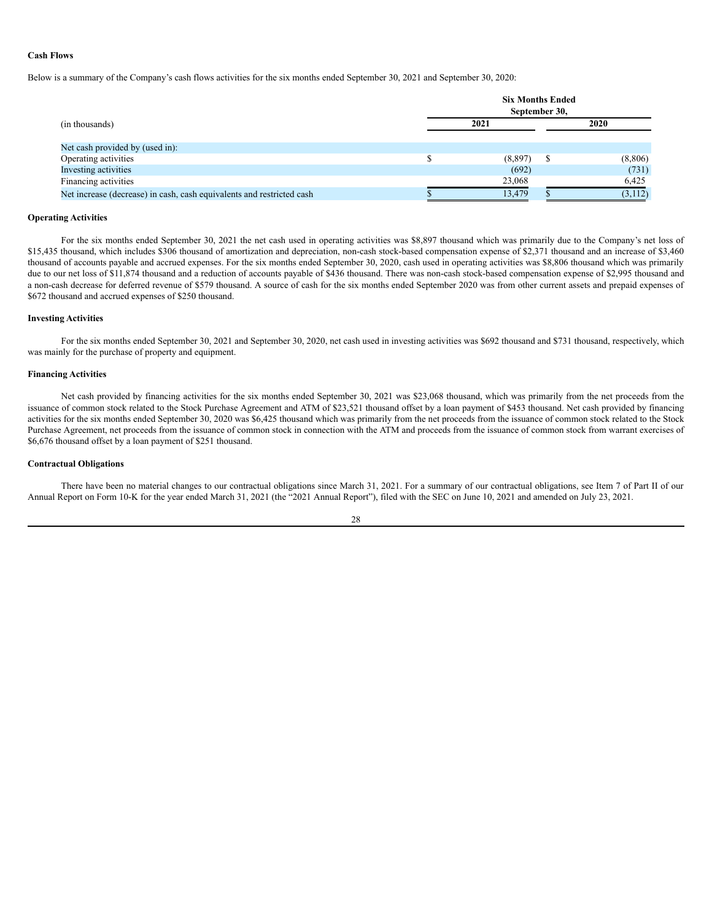### **Cash Flows**

Below is a summary of the Company's cash flows activities for the six months ended September 30, 2021 and September 30, 2020:

|                                                                       | <b>Six Months Ended</b> | September 30, |         |
|-----------------------------------------------------------------------|-------------------------|---------------|---------|
| (in thousands)                                                        | 2021                    |               | 2020    |
| Net cash provided by (used in):                                       |                         |               |         |
| Operating activities                                                  | (8,897)                 | <sup>\$</sup> | (8,806) |
| Investing activities                                                  | (692)                   |               | (731)   |
| Financing activities                                                  | 23,068                  |               | 6,425   |
| Net increase (decrease) in cash, cash equivalents and restricted cash | 13.479                  |               | (3,112) |

#### **Operating Activities**

For the six months ended September 30, 2021 the net cash used in operating activities was \$8,897 thousand which was primarily due to the Company's net loss of \$15,435 thousand, which includes \$306 thousand of amortization and depreciation, non-cash stock-based compensation expense of \$2,371 thousand and an increase of \$3,460 thousand of accounts payable and accrued expenses. For the six months ended September 30, 2020, cash used in operating activities was \$8,806 thousand which was primarily due to our net loss of \$11,874 thousand and a reduction of accounts payable of \$436 thousand. There was non-cash stock-based compensation expense of \$2,995 thousand and a non-cash decrease for deferred revenue of \$579 thousand. A source of cash for the six months ended September 2020 was from other current assets and prepaid expenses of \$672 thousand and accrued expenses of \$250 thousand.

#### **Investing Activities**

For the six months ended September 30, 2021 and September 30, 2020, net cash used in investing activities was \$692 thousand and \$731 thousand, respectively, which was mainly for the purchase of property and equipment.

### **Financing Activities**

Net cash provided by financing activities for the six months ended September 30, 2021 was \$23,068 thousand, which was primarily from the net proceeds from the issuance of common stock related to the Stock Purchase Agreement and ATM of \$23,521 thousand offset by a loan payment of \$453 thousand. Net cash provided by financing activities for the six months ended September 30, 2020 was \$6,425 thousand which was primarily from the net proceeds from the issuance of common stock related to the Stock Purchase Agreement, net proceeds from the issuance of common stock in connection with the ATM and proceeds from the issuance of common stock from warrant exercises of \$6,676 thousand offset by a loan payment of \$251 thousand.

#### **Contractual Obligations**

There have been no material changes to our contractual obligations since March 31, 2021. For a summary of our contractual obligations, see Item 7 of Part II of our Annual Report on Form 10-K for the year ended March 31, 2021 (the "2021 Annual Report"), filed with the SEC on June 10, 2021 and amended on July 23, 2021.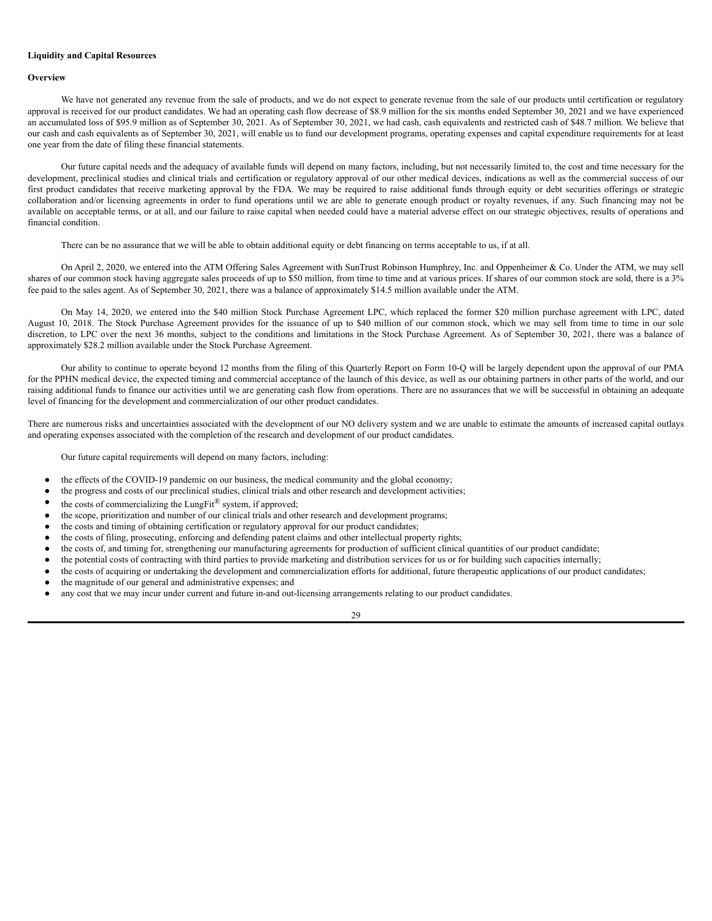### **Liquidity and Capital Resources**

#### **Overview**

We have not generated any revenue from the sale of products, and we do not expect to generate revenue from the sale of our products until certification or regulatory approval is received for our product candidates. We had an operating cash flow decrease of \$8.9 million for the six months ended September 30, 2021 and we have experienced an accumulated loss of \$95.9 million as of September 30, 2021. As of September 30, 2021, we had cash, cash equivalents and restricted cash of \$48.7 million. We believe that our cash and cash equivalents as of September 30, 2021, will enable us to fund our development programs, operating expenses and capital expenditure requirements for at least one year from the date of filing these financial statements.

Our future capital needs and the adequacy of available funds will depend on many factors, including, but not necessarily limited to, the cost and time necessary for the development, preclinical studies and clinical trials and certification or regulatory approval of our other medical devices, indications as well as the commercial success of our first product candidates that receive marketing approval by the FDA. We may be required to raise additional funds through equity or debt securities offerings or strategic collaboration and/or licensing agreements in order to fund operations until we are able to generate enough product or royalty revenues, if any. Such financing may not be available on acceptable terms, or at all, and our failure to raise capital when needed could have a material adverse effect on our strategic objectives, results of operations and financial condition.

There can be no assurance that we will be able to obtain additional equity or debt financing on terms acceptable to us, if at all.

On April 2, 2020, we entered into the ATM Offering Sales Agreement with SunTrust Robinson Humphrey, Inc. and Oppenheimer & Co. Under the ATM, we may sell shares of our common stock having aggregate sales proceeds of up to \$50 million, from time to time and at various prices. If shares of our common stock are sold, there is a 3% fee paid to the sales agent. As of September 30, 2021, there was a balance of approximately \$14.5 million available under the ATM.

On May 14, 2020, we entered into the \$40 million Stock Purchase Agreement LPC, which replaced the former \$20 million purchase agreement with LPC, dated August 10, 2018. The Stock Purchase Agreement provides for the issuance of up to \$40 million of our common stock, which we may sell from time to time in our sole discretion, to LPC over the next 36 months, subject to the conditions and limitations in the Stock Purchase Agreement. As of September 30, 2021, there was a balance of approximately \$28.2 million available under the Stock Purchase Agreement.

Our ability to continue to operate beyond 12 months from the filing of this Quarterly Report on Form 10-Q will be largely dependent upon the approval of our PMA for the PPHN medical device, the expected timing and commercial acceptance of the launch of this device, as well as our obtaining partners in other parts of the world, and our raising additional funds to finance our activities until we are generating cash flow from operations. There are no assurances that we will be successful in obtaining an adequate level of financing for the development and commercialization of our other product candidates.

There are numerous risks and uncertainties associated with the development of our NO delivery system and we are unable to estimate the amounts of increased capital outlays and operating expenses associated with the completion of the research and development of our product candidates.

Our future capital requirements will depend on many factors, including:

- the effects of the COVID-19 pandemic on our business, the medical community and the global economy;
- the progress and costs of our preclinical studies, clinical trials and other research and development activities;
- the costs of commercializing the LungFit<sup>®</sup> system, if approved;
- the scope, prioritization and number of our clinical trials and other research and development programs;
- the costs and timing of obtaining certification or regulatory approval for our product candidates;
- the costs of filing, prosecuting, enforcing and defending patent claims and other intellectual property rights;
- the costs of, and timing for, strengthening our manufacturing agreements for production of sufficient clinical quantities of our product candidate;
- the potential costs of contracting with third parties to provide marketing and distribution services for us or for building such capacities internally;
- the costs of acquiring or undertaking the development and commercialization efforts for additional, future therapeutic applications of our product candidates;
- the magnitude of our general and administrative expenses; and
- any cost that we may incur under current and future in-and out-licensing arrangements relating to our product candidates.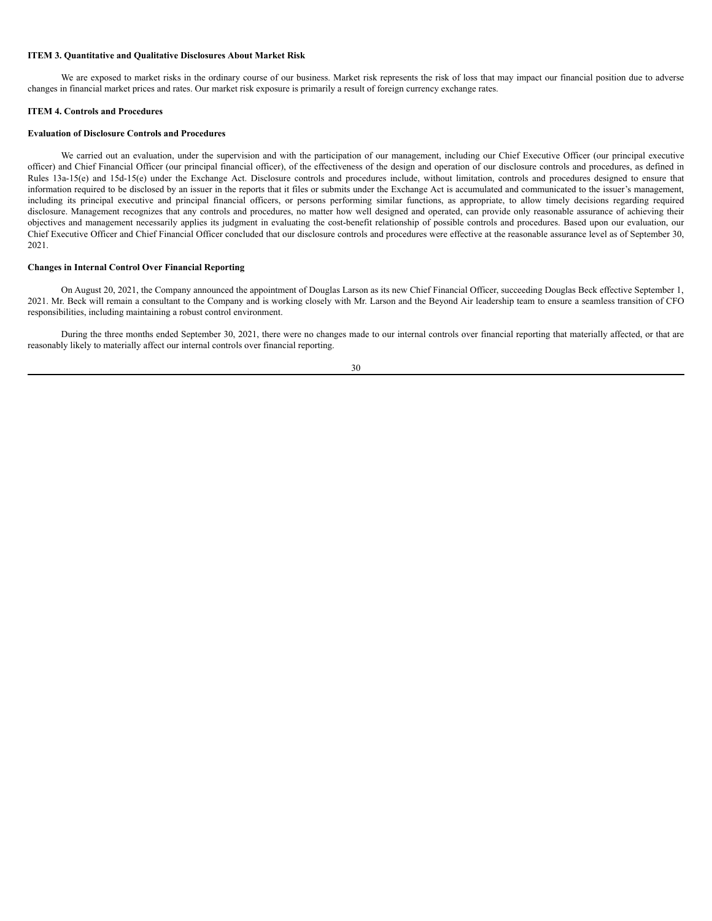### <span id="page-29-0"></span>**ITEM 3. Quantitative and Qualitative Disclosures About Market Risk**

We are exposed to market risks in the ordinary course of our business. Market risk represents the risk of loss that may impact our financial position due to adverse changes in financial market prices and rates. Our market risk exposure is primarily a result of foreign currency exchange rates.

#### <span id="page-29-1"></span>**ITEM 4. Controls and Procedures**

### **Evaluation of Disclosure Controls and Procedures**

We carried out an evaluation, under the supervision and with the participation of our management, including our Chief Executive Officer (our principal executive officer) and Chief Financial Officer (our principal financial officer), of the effectiveness of the design and operation of our disclosure controls and procedures, as defined in Rules 13a-15(e) and 15d-15(e) under the Exchange Act. Disclosure controls and procedures include, without limitation, controls and procedures designed to ensure that information required to be disclosed by an issuer in the reports that it files or submits under the Exchange Act is accumulated and communicated to the issuer's management, including its principal executive and principal financial officers, or persons performing similar functions, as appropriate, to allow timely decisions regarding required disclosure. Management recognizes that any controls and procedures, no matter how well designed and operated, can provide only reasonable assurance of achieving their objectives and management necessarily applies its judgment in evaluating the cost-benefit relationship of possible controls and procedures. Based upon our evaluation, our Chief Executive Officer and Chief Financial Officer concluded that our disclosure controls and procedures were effective at the reasonable assurance level as of September 30, 2021.

### **Changes in Internal Control Over Financial Reporting**

On August 20, 2021, the Company announced the appointment of Douglas Larson as its new Chief Financial Officer, succeeding Douglas Beck effective September 1, 2021. Mr. Beck will remain a consultant to the Company and is working closely with Mr. Larson and the Beyond Air leadership team to ensure a seamless transition of CFO responsibilities, including maintaining a robust control environment.

During the three months ended September 30, 2021, there were no changes made to our internal controls over financial reporting that materially affected, or that are reasonably likely to materially affect our internal controls over financial reporting.

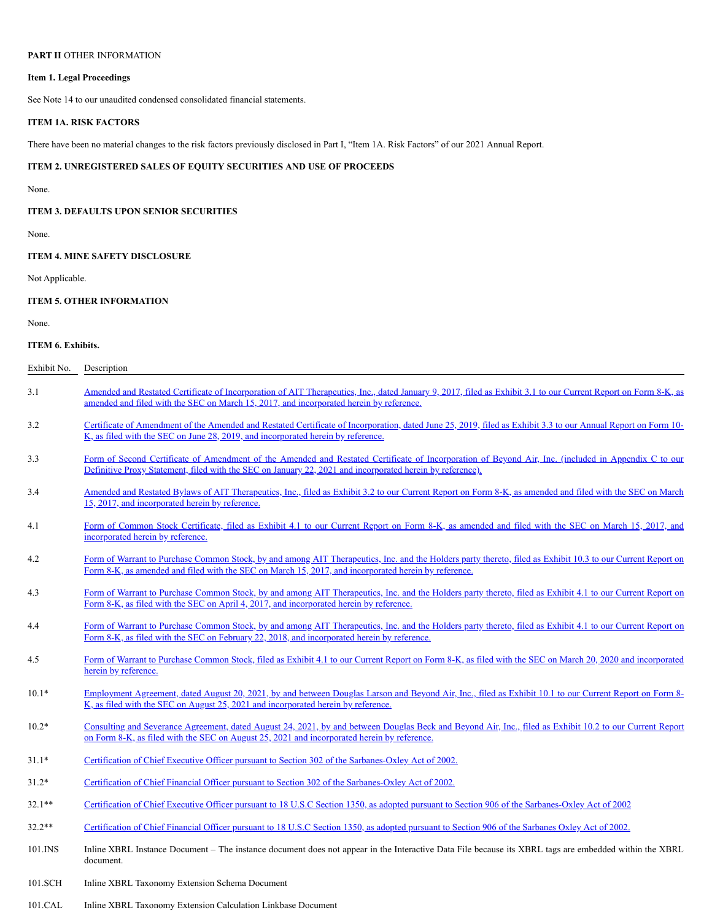### <span id="page-30-0"></span>**PART II** OTHER INFORMATION

### <span id="page-30-1"></span>**Item 1. Legal Proceedings**

See Note 14 to our unaudited condensed consolidated financial statements.

### <span id="page-30-2"></span>**ITEM 1A. RISK FACTORS**

There have been no material changes to the risk factors previously disclosed in Part I, "Item 1A. Risk Factors" of our 2021 Annual Report.

# <span id="page-30-3"></span>**ITEM 2. UNREGISTERED SALES OF EQUITY SECURITIES AND USE OF PROCEEDS**

None.

### **ITEM 3. DEFAULTS UPON SENIOR SECURITIES**

None.

### <span id="page-30-4"></span>**ITEM 4. MINE SAFETY DISCLOSURE**

Not Applicable.

### <span id="page-30-5"></span>**ITEM 5. OTHER INFORMATION**

None.

### <span id="page-30-6"></span>**ITEM 6. Exhibits.**

| Exhibit No. | Description                                                                                                                                                                                                                                                         |
|-------------|---------------------------------------------------------------------------------------------------------------------------------------------------------------------------------------------------------------------------------------------------------------------|
| 3.1         | Amended and Restated Certificate of Incorporation of AIT Therapeutics, Inc., dated January 9, 2017, filed as Exhibit 3.1 to our Current Report on Form 8-K, as<br>amended and filed with the SEC on March 15, 2017, and incorporated herein by reference.           |
| 3.2         | Certificate of Amendment of the Amended and Restated Certificate of Incorporation, dated June 25, 2019, filed as Exhibit 3.3 to our Annual Report on Form 10-<br>K, as filed with the SEC on June 28, 2019, and incorporated herein by reference.                   |
| 3.3         | Form of Second Certificate of Amendment of the Amended and Restated Certificate of Incorporation of Beyond Air, Inc. (included in Appendix C to our<br>Definitive Proxy Statement, filed with the SEC on January 22, 2021 and incorporated herein by reference).    |
| 3.4         | Amended and Restated Bylaws of AIT Therapeutics, Inc., filed as Exhibit 3.2 to our Current Report on Form 8-K, as amended and filed with the SEC on March<br>15, 2017, and incorporated herein by reference.                                                        |
| 4.1         | Form of Common Stock Certificate, filed as Exhibit 4.1 to our Current Report on Form 8-K, as amended and filed with the SEC on March 15, 2017, and<br>incorporated herein by reference.                                                                             |
| 4.2         | Form of Warrant to Purchase Common Stock, by and among AIT Therapeutics, Inc. and the Holders party thereto, filed as Exhibit 10.3 to our Current Report on<br>Form 8-K, as amended and filed with the SEC on March 15, 2017, and incorporated herein by reference. |
| 4.3         | Form of Warrant to Purchase Common Stock, by and among AIT Therapeutics, Inc. and the Holders party thereto, filed as Exhibit 4.1 to our Current Report on<br>Form 8-K, as filed with the SEC on April 4, 2017, and incorporated herein by reference.               |
| 4.4         | Form of Warrant to Purchase Common Stock, by and among AIT Therapeutics, Inc. and the Holders party thereto, filed as Exhibit 4.1 to our Current Report on<br>Form 8-K, as filed with the SEC on February 22, 2018, and incorporated herein by reference.           |
| 4.5         | Form of Warrant to Purchase Common Stock, filed as Exhibit 4.1 to our Current Report on Form 8-K, as filed with the SEC on March 20, 2020 and incorporated<br>herein by reference.                                                                                  |
| $10.1*$     | Employment Agreement, dated August 20, 2021, by and between Douglas Larson and Beyond Air, Inc., filed as Exhibit 10.1 to our Current Report on Form 8-<br>K, as filed with the SEC on August 25, 2021 and incorporated herein by reference.                        |
| $10.2*$     | Consulting and Severance Agreement, dated August 24, 2021, by and between Douglas Beck and Beyond Air, Inc., filed as Exhibit 10.2 to our Current Report<br>on Form 8-K, as filed with the SEC on August 25, 2021 and incorporated herein by reference.             |
| $31.1*$     | Certification of Chief Executive Officer pursuant to Section 302 of the Sarbanes-Oxley Act of 2002.                                                                                                                                                                 |
| $31.2*$     | Certification of Chief Financial Officer pursuant to Section 302 of the Sarbanes-Oxley Act of 2002.                                                                                                                                                                 |
| $32.1**$    | Certification of Chief Executive Officer pursuant to 18 U.S.C Section 1350, as adopted pursuant to Section 906 of the Sarbanes-Oxley Act of 2002                                                                                                                    |
| $32.2**$    | Certification of Chief Financial Officer pursuant to 18 U.S.C Section 1350, as adopted pursuant to Section 906 of the Sarbanes Oxley Act of 2002.                                                                                                                   |
| 101.INS     | Inline XBRL Instance Document – The instance document does not appear in the Interactive Data File because its XBRL tags are embedded within the XBRL<br>document.                                                                                                  |
| 101.SCH     | Inline XBRL Taxonomy Extension Schema Document                                                                                                                                                                                                                      |

101.CAL Inline XBRL Taxonomy Extension Calculation Linkbase Document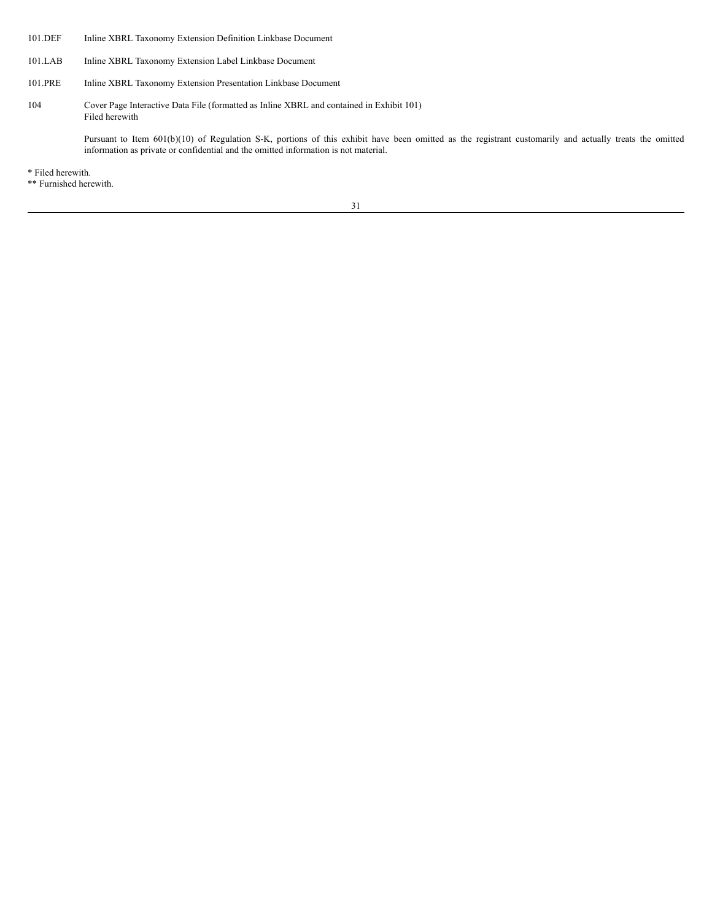- 101.DEF Inline XBRL Taxonomy Extension Definition Linkbase Document
- 101.LAB Inline XBRL Taxonomy Extension Label Linkbase Document
- 101.PRE Inline XBRL Taxonomy Extension Presentation Linkbase Document
- 104 Cover Page Interactive Data File (formatted as Inline XBRL and contained in Exhibit 101) Filed herewith

Pursuant to Item 601(b)(10) of Regulation S-K, portions of this exhibit have been omitted as the registrant customarily and actually treats the omitted information as private or confidential and the omitted information is not material.

\* Filed herewith.

\*\* Furnished herewith.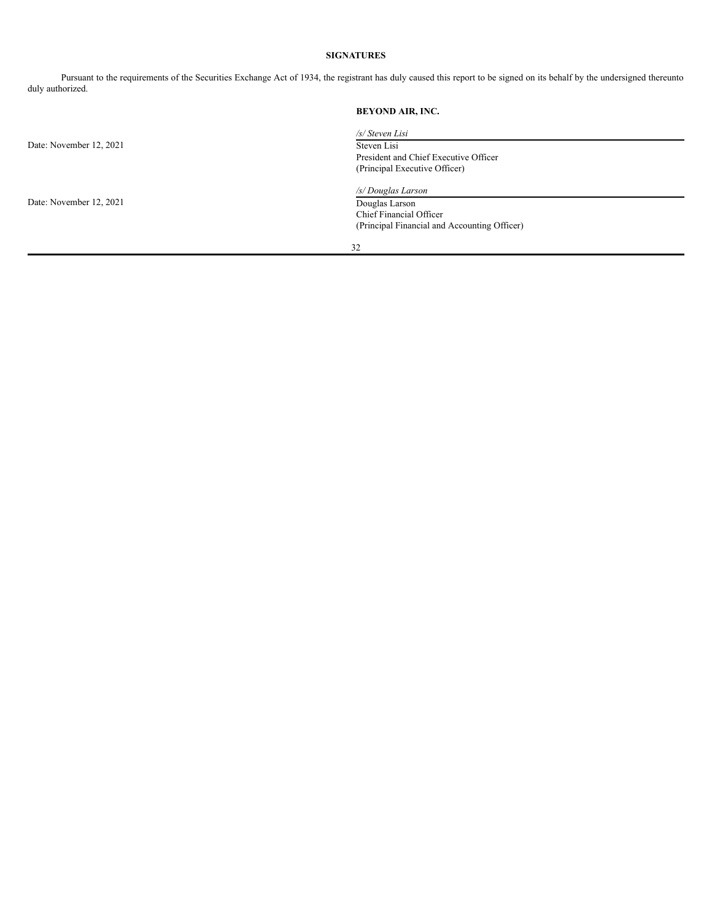## **SIGNATURES**

<span id="page-32-0"></span>Pursuant to the requirements of the Securities Exchange Act of 1934, the registrant has duly caused this report to be signed on its behalf by the undersigned thereunto duly authorized.

|                         | <b>BEYOND AIR, INC.</b>                      |
|-------------------------|----------------------------------------------|
|                         | /s/ Steven Lisi                              |
| Date: November 12, 2021 | Steven Lisi                                  |
|                         | President and Chief Executive Officer        |
|                         | (Principal Executive Officer)                |
|                         | /s/ Douglas Larson                           |
| Date: November 12, 2021 | Douglas Larson                               |
|                         | Chief Financial Officer                      |
|                         | (Principal Financial and Accounting Officer) |
|                         | 32                                           |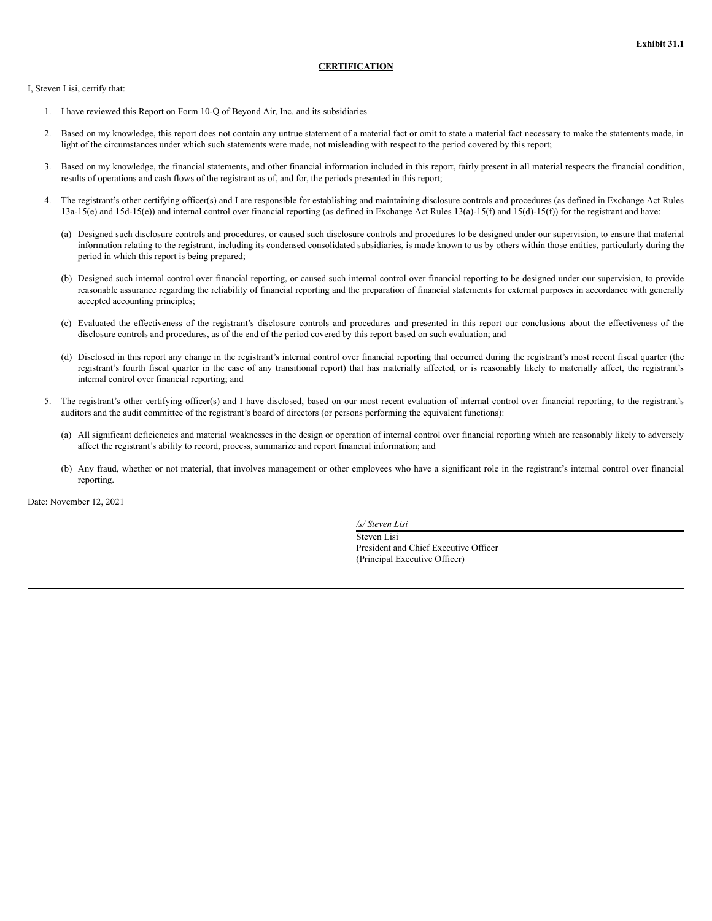I, Steven Lisi, certify that:

- 1. I have reviewed this Report on Form 10-Q of Beyond Air, Inc. and its subsidiaries
- 2. Based on my knowledge, this report does not contain any untrue statement of a material fact or omit to state a material fact necessary to make the statements made, in light of the circumstances under which such statements were made, not misleading with respect to the period covered by this report;
- 3. Based on my knowledge, the financial statements, and other financial information included in this report, fairly present in all material respects the financial condition, results of operations and cash flows of the registrant as of, and for, the periods presented in this report;
- 4. The registrant's other certifying officer(s) and I are responsible for establishing and maintaining disclosure controls and procedures (as defined in Exchange Act Rules 13a-15(e) and 15d-15(e)) and internal control over financial reporting (as defined in Exchange Act Rules 13(a)-15(f) and 15(d)-15(f)) for the registrant and have:
	- (a) Designed such disclosure controls and procedures, or caused such disclosure controls and procedures to be designed under our supervision, to ensure that material information relating to the registrant, including its condensed consolidated subsidiaries, is made known to us by others within those entities, particularly during the period in which this report is being prepared;
	- (b) Designed such internal control over financial reporting, or caused such internal control over financial reporting to be designed under our supervision, to provide reasonable assurance regarding the reliability of financial reporting and the preparation of financial statements for external purposes in accordance with generally accepted accounting principles;
	- (c) Evaluated the effectiveness of the registrant's disclosure controls and procedures and presented in this report our conclusions about the effectiveness of the disclosure controls and procedures, as of the end of the period covered by this report based on such evaluation; and
	- (d) Disclosed in this report any change in the registrant's internal control over financial reporting that occurred during the registrant's most recent fiscal quarter (the registrant's fourth fiscal quarter in the case of any transitional report) that has materially affected, or is reasonably likely to materially affect, the registrant's internal control over financial reporting; and
- 5. The registrant's other certifying officer(s) and I have disclosed, based on our most recent evaluation of internal control over financial reporting, to the registrant's auditors and the audit committee of the registrant's board of directors (or persons performing the equivalent functions):
	- (a) All significant deficiencies and material weaknesses in the design or operation of internal control over financial reporting which are reasonably likely to adversely affect the registrant's ability to record, process, summarize and report financial information; and
	- (b) Any fraud, whether or not material, that involves management or other employees who have a significant role in the registrant's internal control over financial reporting.

Date: November 12, 2021

*/s/ Steven Lisi*

Steven Lisi President and Chief Executive Officer (Principal Executive Officer)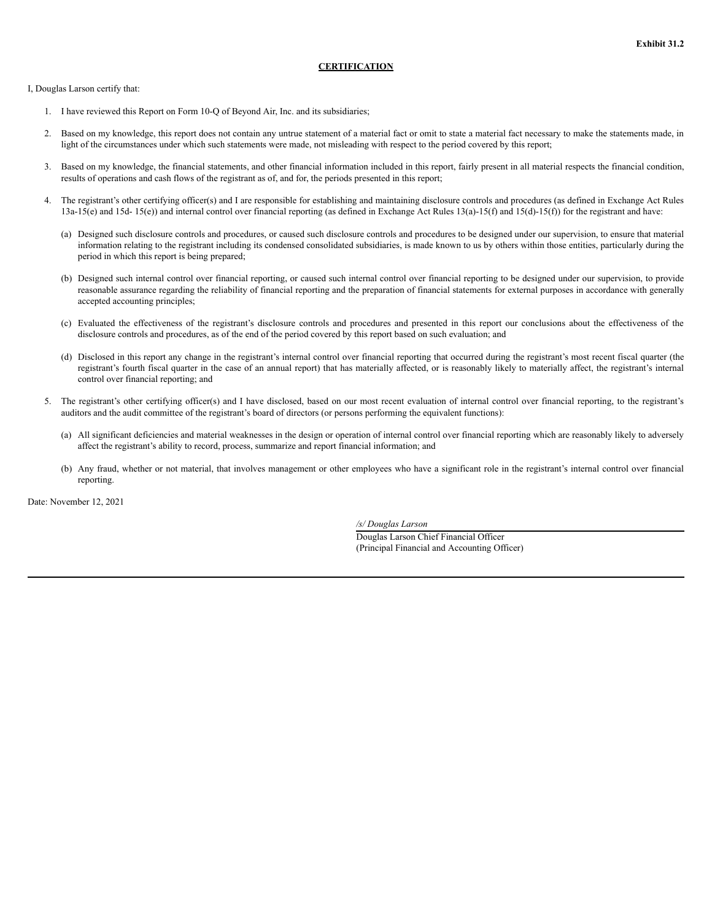I, Douglas Larson certify that:

- 1. I have reviewed this Report on Form 10-Q of Beyond Air, Inc. and its subsidiaries;
- 2. Based on my knowledge, this report does not contain any untrue statement of a material fact or omit to state a material fact necessary to make the statements made, in light of the circumstances under which such statements were made, not misleading with respect to the period covered by this report;
- 3. Based on my knowledge, the financial statements, and other financial information included in this report, fairly present in all material respects the financial condition, results of operations and cash flows of the registrant as of, and for, the periods presented in this report;
- 4. The registrant's other certifying officer(s) and I are responsible for establishing and maintaining disclosure controls and procedures (as defined in Exchange Act Rules 13a-15(e) and 15d- 15(e)) and internal control over financial reporting (as defined in Exchange Act Rules 13(a)-15(f) and 15(d)-15(f)) for the registrant and have:
	- (a) Designed such disclosure controls and procedures, or caused such disclosure controls and procedures to be designed under our supervision, to ensure that material information relating to the registrant including its condensed consolidated subsidiaries, is made known to us by others within those entities, particularly during the period in which this report is being prepared;
	- (b) Designed such internal control over financial reporting, or caused such internal control over financial reporting to be designed under our supervision, to provide reasonable assurance regarding the reliability of financial reporting and the preparation of financial statements for external purposes in accordance with generally accepted accounting principles;
	- (c) Evaluated the effectiveness of the registrant's disclosure controls and procedures and presented in this report our conclusions about the effectiveness of the disclosure controls and procedures, as of the end of the period covered by this report based on such evaluation; and
	- (d) Disclosed in this report any change in the registrant's internal control over financial reporting that occurred during the registrant's most recent fiscal quarter (the registrant's fourth fiscal quarter in the case of an annual report) that has materially affected, or is reasonably likely to materially affect, the registrant's internal control over financial reporting; and
- 5. The registrant's other certifying officer(s) and I have disclosed, based on our most recent evaluation of internal control over financial reporting, to the registrant's auditors and the audit committee of the registrant's board of directors (or persons performing the equivalent functions):
	- (a) All significant deficiencies and material weaknesses in the design or operation of internal control over financial reporting which are reasonably likely to adversely affect the registrant's ability to record, process, summarize and report financial information; and
	- (b) Any fraud, whether or not material, that involves management or other employees who have a significant role in the registrant's internal control over financial reporting.

Date: November 12, 2021

*/s/ Douglas Larson*

Douglas Larson Chief Financial Officer (Principal Financial and Accounting Officer)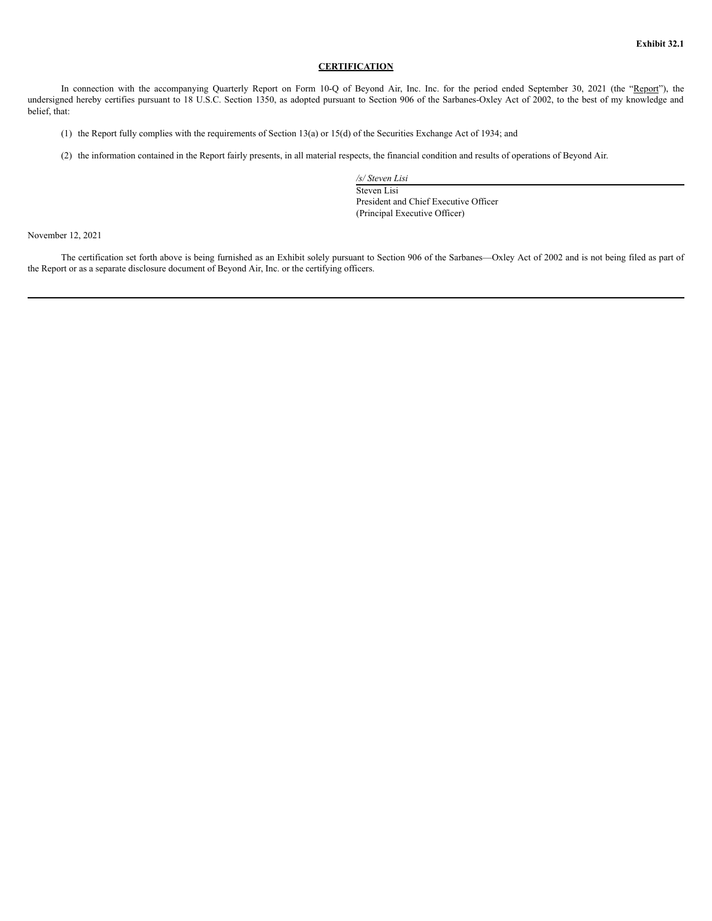In connection with the accompanying Quarterly Report on Form 10-Q of Beyond Air, Inc. Inc. for the period ended September 30, 2021 (the "Report"), the undersigned hereby certifies pursuant to 18 U.S.C. Section 1350, as adopted pursuant to Section 906 of the Sarbanes-Oxley Act of 2002, to the best of my knowledge and belief, that:

(1) the Report fully complies with the requirements of Section 13(a) or 15(d) of the Securities Exchange Act of 1934; and

(2) the information contained in the Report fairly presents, in all material respects, the financial condition and results of operations of Beyond Air.

*/s/ Steven Lisi*

Steven Lisi President and Chief Executive Officer (Principal Executive Officer)

November 12, 2021

The certification set forth above is being furnished as an Exhibit solely pursuant to Section 906 of the Sarbanes—Oxley Act of 2002 and is not being filed as part of the Report or as a separate disclosure document of Beyond Air, Inc. or the certifying officers.